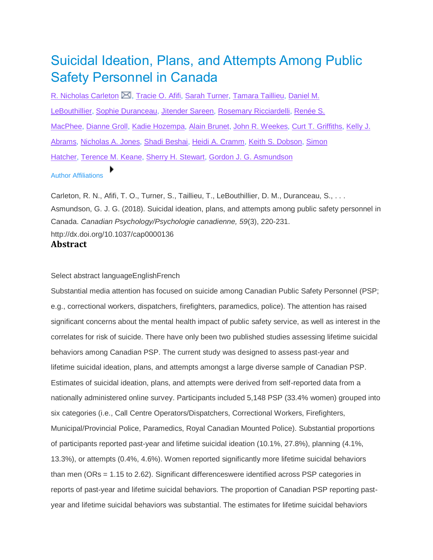# Suicidal Ideation, Plans, and Attempts Among Public Safety Personnel in Canada

R. [Nicholas](/search/results) Carleton  $\boxtimes$ , [Tracie](/search/results) O. Afifi, Sarah [Turner,](/search/results) [Tamara](/search/results) Taillieu, [Daniel](/search/results) M. [LeBouthillier,](/search/results) Sophie [Duranceau,](/search/results) [Jitender](/search/results) Sareen, Rosemary [Ricciardelli,](/search/results) [Renée](/search/results) S. [MacPhee,](/search/results) [Dianne](/search/results) Groll, Kadie [Hozempa,](/search/results) Alain [Brunet,](/search/results) John R. [Weekes,](/search/results) Curt T. [Griffiths,](/search/results) [Kelly](/search/results) J. [Abrams,](/search/results) [Nicholas](/search/results) A. Jones, Shadi [Beshai,](/search/results) Heidi A. [Cramm,](/search/results) Keith S. [Dobson,](/search/results) [Simon](/search/results) [Hatcher,](/search/results) [Terence](/search/results) M. Keane, Sherry H. [Stewart,](/search/results) Gordon J. G. [Asmundson](/search/results)

# Author Affiliations

Carleton, R. N., Afifi, T. O., Turner, S., Taillieu, T., LeBouthillier, D. M., Duranceau, S., . . . Asmundson, G. J. G. (2018). Suicidal ideation, plans, and attempts among public safety personnel in Canada. *Canadian Psychology/Psychologie canadienne, 59*(3), 220-231. http://dx.doi.org/10.1037/cap0000136 **Abstract**

Select abstract languageEnglishFrench

Substantial media attention has focused on suicide among Canadian Public Safety Personnel (PSP; e.g., correctional workers, dispatchers, firefighters, paramedics, police). The attention has raised significant concerns about the mental health impact of public safety service, as well as interest in the correlates for risk of suicide. There have only been two published studies assessing lifetime suicidal behaviors among Canadian PSP. The current study was designed to assess past-year and lifetime suicidal ideation, plans, and attempts amongst a large diverse sample of Canadian PSP. Estimates of suicidal ideation, plans, and attempts were derived from self-reported data from a nationally administered online survey. Participants included 5,148 PSP (33.4% women) grouped into six categories (i.e., Call Centre Operators/Dispatchers, Correctional Workers, Firefighters, Municipal/Provincial Police, Paramedics, Royal Canadian Mounted Police). Substantial proportions of participants reported past-year and lifetime suicidal ideation (10.1%, 27.8%), planning (4.1%, 13.3%), or attempts (0.4%, 4.6%). Women reported significantly more lifetime suicidal behaviors than men (ORs = 1.15 to 2.62). Significant differenceswere identified across PSP categories in reports of past-year and lifetime suicidal behaviors. The proportion of Canadian PSP reporting pastyear and lifetime suicidal behaviors was substantial. The estimates for lifetime suicidal behaviors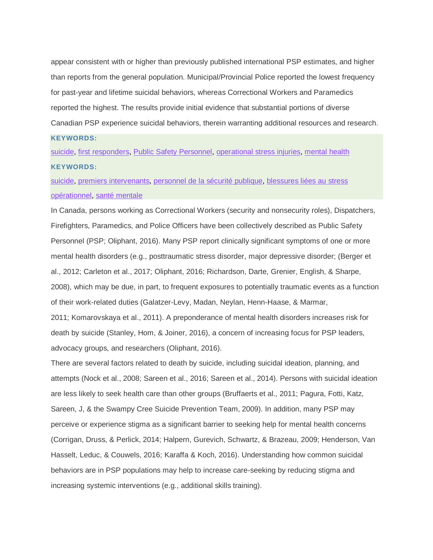appear consistent with or higher than previously published international PSP estimates, and higher than reports from the general population. Municipal/Provincial Police reported the lowest frequency for past-year and lifetime suicidal behaviors, whereas Correctional Workers and Paramedics reported the highest. The results provide initial evidence that substantial portions of diverse Canadian PSP experience suicidal behaviors, therein warranting additional resources and research.

## **KEYWORDS:**

[suicide,](/search/results) first [responders,](/search/results) Public Safety [Personnel,](/search/results) [operational](/search/results) stress injuries, [mental](/search/results) health **KEYWORDS:**

[suicide,](/search/results) premiers [intervenants,](/search/results) [personnel](/search/results) de la sécurité publique, [blessures](/search/results) liées au stress [opérationnel,](/search/results) santé [mentale](/search/results)

In Canada, persons working as Correctional Workers (security and nonsecurity roles), Dispatchers, Firefighters, Paramedics, and Police Officers have been collectively described as Public Safety Personnel (PSP; Oliphant, 2016). Many PSP report clinically significant symptoms of one or more mental health disorders (e.g., posttraumatic stress disorder, major depressive disorder; (Berger et al., 2012; Carleton et al., 2017; Oliphant, 2016; Richardson, Darte, Grenier, English, & Sharpe, 2008), which may be due, in part, to frequent exposures to potentially traumatic events as a function of their work-related duties (Galatzer-Levy, Madan, Neylan, Henn-Haase, & Marmar,

2011; Komarovskaya et al., 2011). A preponderance of mental health disorders increases risk for death by suicide (Stanley, Hom, & Joiner, 2016), a concern of increasing focus for PSP leaders, advocacy groups, and researchers (Oliphant, 2016).

There are several factors related to death by suicide, including suicidal ideation, planning, and attempts (Nock et al., 2008; Sareen et al., 2016; Sareen et al., 2014). Persons with suicidal ideation are less likely to seek health care than other groups (Bruffaerts et al., 2011; Pagura, Fotti, Katz, Sareen, J, & the Swampy Cree Suicide Prevention Team, 2009). In addition, many PSP may perceive or experience stigma as a significant barrier to seeking help for mental health concerns (Corrigan, Druss, & Perlick, 2014; Halpern, Gurevich, Schwartz, & Brazeau, 2009; Henderson, Van Hasselt, Leduc, & Couwels, 2016; Karaffa & Koch, 2016). Understanding how common suicidal behaviors are in PSP populations may help to increase care-seeking by reducing stigma and increasing systemic interventions (e.g., additional skills training).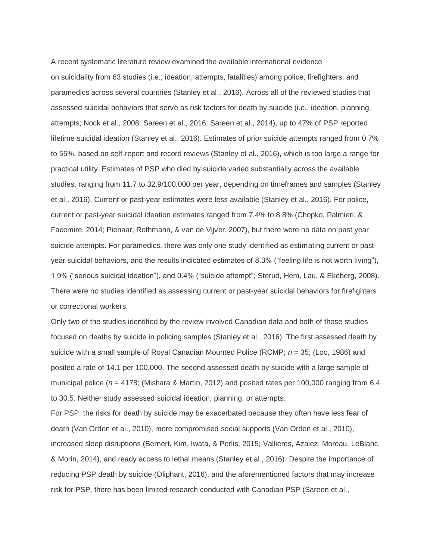A recent systematic literature review examined the available international evidence on suicidality from 63 studies (i.e., ideation, attempts, fatalities) among police, firefighters, and paramedics across several countries (Stanley et al., 2016). Across all of the reviewed studies that assessed suicidal behaviors that serve as risk factors for death by suicide (i.e., ideation, planning, attempts; Nock et al., 2008; Sareen et al., 2016; Sareen et al., 2014), up to 47% of PSP reported lifetime suicidal ideation (Stanley et al., 2016). Estimates of prior suicide attempts ranged from 0.7% to 55%, based on self-report and record reviews (Stanley et al., 2016), which is too large a range for practical utility. Estimates of PSP who died by suicide varied substantially across the available studies, ranging from 11.7 to 32.9/100,000 per year, depending on timeframes and samples (Stanley et al., 2016). Current or past-year estimates were less available (Stanley et al., 2016). For police, current or past-year suicidal ideation estimates ranged from 7.4% to 8.8% (Chopko, Palmieri, & Facemire, 2014; Pienaar, Rothmann, & van de Vijver, 2007), but there were no data on past year suicide attempts. For paramedics, there was only one study identified as estimating current or pastyear suicidal behaviors, and the results indicated estimates of 8.3% ("feeling life is not worth living"), 1.9% ("serious suicidal ideation"), and 0.4% ("suicide attempt"; Sterud, Hem, Lau, & Ekeberg, 2008). There were no studies identified as assessing current or past-year suicidal behaviors for firefighters or correctional workers.

Only two of the studies identified by the review involved Canadian data and both of those studies focused on deaths by suicide in policing samples (Stanley et al., 2016). The first assessed death by suicide with a small sample of Royal Canadian Mounted Police (RCMP; *n* = 35; (Loo, 1986) and posited a rate of 14.1 per 100,000. The second assessed death by suicide with a large sample of municipal police (*n* = 4178; (Mishara & Martin, 2012) and posited rates per 100,000 ranging from 6.4 to 30.5. Neither study assessed suicidal ideation, planning, or attempts.

For PSP, the risks for death by suicide may be exacerbated because they often have less fear of death (Van Orden et al., 2010), more compromised social supports (Van Orden et al., 2010), increased sleep disruptions (Bernert, Kim, Iwata, & Perlis, 2015; Vallieres, Azaiez, Moreau, LeBlanc, & Morin, 2014), and ready access to lethal means (Stanley et al., 2016). Despite the importance of reducing PSP death by suicide (Oliphant, 2016), and the aforementioned factors that may increase risk for PSP, there has been limited research conducted with Canadian PSP (Sareen et al.,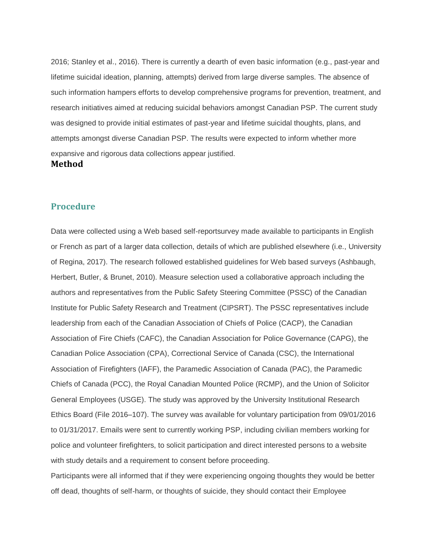2016; Stanley et al., 2016). There is currently a dearth of even basic information (e.g., past-year and lifetime suicidal ideation, planning, attempts) derived from large diverse samples. The absence of such information hampers efforts to develop comprehensive programs for prevention, treatment, and research initiatives aimed at reducing suicidal behaviors amongst Canadian PSP. The current study was designed to provide initial estimates of past-year and lifetime suicidal thoughts, plans, and attempts amongst diverse Canadian PSP. The results were expected to inform whether more expansive and rigorous data collections appear justified. **Method**

# **Procedure**

Data were collected using a Web based self-reportsurvey made available to participants in English or French as part of a larger data collection, details of which are published elsewhere (i.e., University of Regina, 2017). The research followed established guidelines for Web based surveys (Ashbaugh, Herbert, Butler, & Brunet, 2010). Measure selection used a collaborative approach including the authors and representatives from the Public Safety Steering Committee (PSSC) of the Canadian Institute for Public Safety Research and Treatment (CIPSRT). The PSSC representatives include leadership from each of the Canadian Association of Chiefs of Police (CACP), the Canadian Association of Fire Chiefs (CAFC), the Canadian Association for Police Governance (CAPG), the Canadian Police Association (CPA), Correctional Service of Canada (CSC), the International Association of Firefighters (IAFF), the Paramedic Association of Canada (PAC), the Paramedic Chiefs of Canada (PCC), the Royal Canadian Mounted Police (RCMP), and the Union of Solicitor General Employees (USGE). The study was approved by the University Institutional Research Ethics Board (File 2016–107). The survey was available for voluntary participation from 09/01/2016 to 01/31/2017. Emails were sent to currently working PSP, including civilian members working for police and volunteer firefighters, to solicit participation and direct interested persons to a website with study details and a requirement to consent before proceeding.

Participants were all informed that if they were experiencing ongoing thoughts they would be better off dead, thoughts of self-harm, or thoughts of suicide, they should contact their Employee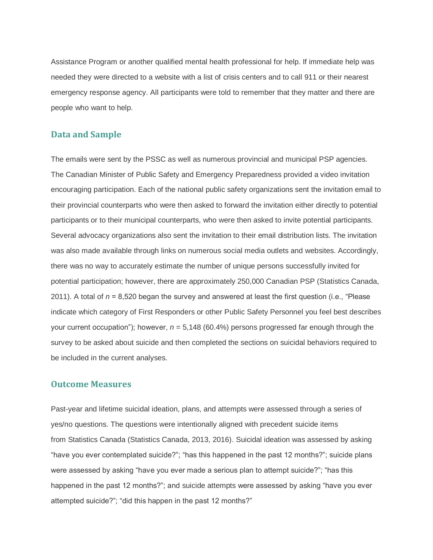Assistance Program or another qualified mental health professional for help. If immediate help was needed they were directed to a website with a list of crisis centers and to call 911 or their nearest emergency response agency. All participants were told to remember that they matter and there are people who want to help.

# **Data and Sample**

The emails were sent by the PSSC as well as numerous provincial and municipal PSP agencies. The Canadian Minister of Public Safety and Emergency Preparedness provided a video invitation encouraging participation. Each of the national public safety organizations sent the invitation email to their provincial counterparts who were then asked to forward the invitation either directly to potential participants or to their municipal counterparts, who were then asked to invite potential participants. Several advocacy organizations also sent the invitation to their email distribution lists. The invitation was also made available through links on numerous social media outlets and websites. Accordingly, there was no way to accurately estimate the number of unique persons successfully invited for potential participation; however, there are approximately 250,000 Canadian PSP (Statistics Canada, 2011). A total of *n* = 8,520 began the survey and answered at least the first question (i.e., "Please indicate which category of First Responders or other Public Safety Personnel you feel best describes your current occupation"); however, *n* = 5,148 (60.4%) persons progressed far enough through the survey to be asked about suicide and then completed the sections on suicidal behaviors required to be included in the current analyses.

# **Outcome Measures**

Past-year and lifetime suicidal ideation, plans, and attempts were assessed through a series of yes/no questions. The questions were intentionally aligned with precedent suicide items from Statistics Canada (Statistics Canada, 2013, 2016). Suicidal ideation was assessed by asking "have you ever contemplated suicide?"; "has this happened in the past 12 months?"; suicide plans were assessed by asking "have you ever made a serious plan to attempt suicide?"; "has this happened in the past 12 months?"; and suicide attempts were assessed by asking "have you ever attempted suicide?"; "did this happen in the past 12 months?"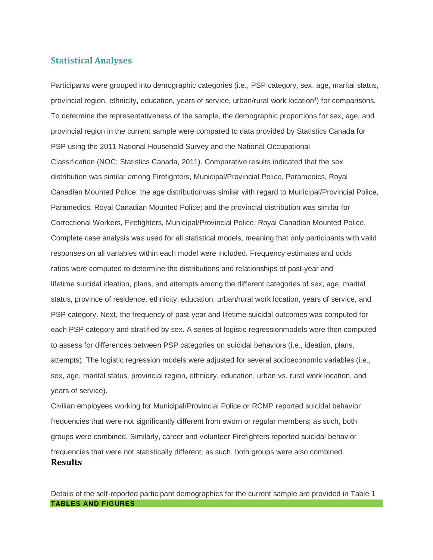# **Statistical Analyses**

Participants were grouped into demographic categories (i.e., PSP category, sex, age, marital status, provincial region, ethnicity, education, years of service, urban/rural work location**<sup>1</sup>** ) for comparisons. To determine the representativeness of the sample, the demographic proportions for sex, age, and provincial region in the current sample were compared to data provided by Statistics Canada for PSP using the 2011 National Household Survey and the National Occupational Classification (NOC; Statistics Canada, 2011). Comparative results indicated that the sex distribution was similar among Firefighters, Municipal/Provincial Police, Paramedics, Royal Canadian Mounted Police; the age distributionwas similar with regard to Municipal/Provincial Police, Paramedics, Royal Canadian Mounted Police; and the provincial distribution was similar for Correctional Workers, Firefighters, Municipal/Provincial Police, Royal Canadian Mounted Police. Complete case analysis was used for all statistical models, meaning that only participants with valid responses on all variables within each model were included. Frequency estimates and odds ratios were computed to determine the distributions and relationships of past-year and lifetime suicidal ideation, plans, and attempts among the different categories of sex, age, marital status, province of residence, ethnicity, education, urban/rural work location, years of service, and PSP category. Next, the frequency of past-year and lifetime suicidal outcomes was computed for each PSP category and stratified by sex. A series of logistic regressionmodels were then computed to assess for differences between PSP categories on suicidal behaviors (i.e., ideation, plans, attempts). The logistic regression models were adjusted for several socioeconomic variables (i.e., sex, age, marital status, provincial region, ethnicity, education, urban vs. rural work location, and years of service).

Civilian employees working for Municipal/Provincial Police or RCMP reported suicidal behavior frequencies that were not significantly different from sworn or regular members; as such, both groups were combined. Similarly, career and volunteer Firefighters reported suicidal behavior frequencies that were not statistically different; as such, both groups were also combined. **Results**

Details of the self-reported participant demographics for the current sample are provided in Table 1 **TABLES AND FIGURES**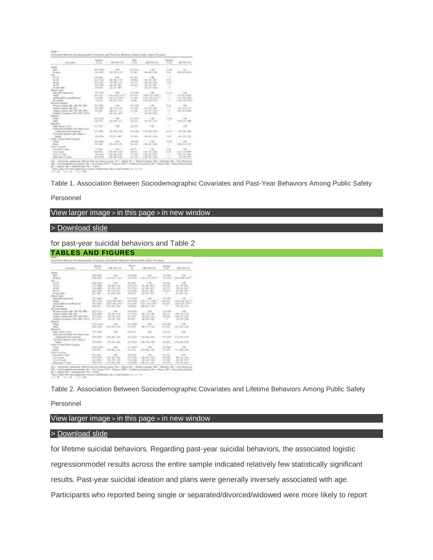| Toronto.                                                                                       | <b>Distance</b><br><b>ALCOHOL</b>    |                                  | Rome                                | 1 199 Milled Clay           | to and                                                                        | contractor of the     |
|------------------------------------------------------------------------------------------------|--------------------------------------|----------------------------------|-------------------------------------|-----------------------------|-------------------------------------------------------------------------------|-----------------------|
| <b>Gaada</b><br><b>HELL</b>                                                                    | $-$ 00.5 $\sqrt{400}$                | $-1.146$                         | AT JOHN                             | . London                    | Automo-                                                                       | <b>STAR</b>           |
| Work:                                                                                          | <b>WA HATE</b>                       | $480.1$ Kg, to 4/6               | 17,402                              | 48.143.136                  | $1 - 20$                                                                      | 149.143.445L          |
| <b>Sales</b>                                                                                   |                                      |                                  |                                     |                             |                                                                               |                       |
| $-99.38$                                                                                       | <b>Hitchcock</b>                     | 1.00                             | in all others.                      | $-$                         | $\sim$                                                                        |                       |
| 30-781 -                                                                                       | <b>Bill &amp; Lifting</b>            | 49-14039-1-120-2                 | 13.06                               | 2011/06/1897                | $-10.05$                                                                      |                       |
| and the<br>State Class                                                                         | <b>DEALERS</b>                       | PRILL REL. 3. ALC:               | <b>A 21711</b>                      | As 1, 416, 1, 8171.         | 1,818                                                                         |                       |
| <b>GE-AM-HAS</b>                                                                               | KIN LORD<br><b>EURICES</b>           | Michigan, Miller<br>ALC: NO MAY  | 3 mindle<br>15                      | ALL RELAWAY                 | $\sim$                                                                        |                       |
| <b>Market Sales</b>                                                                            |                                      |                                  |                                     | 401111140                   |                                                                               |                       |
| <b>Runsell Import for</b>                                                                      | At 5 of the                          | $-144$                           | 4.4-4.786                           |                             | <b>Long Inc.</b>                                                              | $-14$                 |
| <b>Top</b>                                                                                     | San Minholt                          | or Montreal and America          | A Airfin                            | I do in the trade           | w                                                                             | 21918114801           |
| Antonio Miller and Artistical                                                                  | 214,080                              | 1.61.6.76.1.407T                 | 1.4 plan                            | 2.14 ci dia 3.4 c)          | $\mathcal{A}$                                                                 | 4.07.1.44.9.000       |
| <b>Britannical</b>                                                                             | Total products                       | 49-14039-1-120-2                 | $14 - 46$                           | 147144.1781                 | $\sim$                                                                        | 4.86 LTR, (SLET)      |
| <b>Protestal Automo</b>                                                                        |                                      |                                  |                                     |                             |                                                                               |                       |
| Romes Canaly, MI, 148-781-7801.                                                                | In 1 clair.                          | $+ 40$                           | 44.458                              | $-20$                       | $1 - 1$                                                                       |                       |
| Bankels County (OR) 130 1                                                                      | <b>SLAUSES</b>                       | 49-14039-1-120-2                 | 11,700.                             | $-40.48$ $-40.7$            | $\sim$                                                                        | 47131.13%             |
| Astronical of transition (MAL) Parks, MAR, 19875 a.m.<br>Scalings Trainings, 2-8, 5:57, 50-71. | \$1.500.<br>$\overline{\phantom{a}}$ | Mount of Div-<br>481-175 11-675- | 3.5 (1986)<br>$\tilde{\phantom{a}}$ | ALLEL 1991<br>$47 + 56.176$ | $\sim$<br>$\frac{1}{2} \left( \frac{1}{2} \right) \left( \frac{1}{2} \right)$ | 149 Lake Staffe       |
| <b>Elderson</b>                                                                                |                                      |                                  |                                     |                             | n v                                                                           |                       |
| <b>All Services</b>                                                                            | and service                          | 1.440                            | 4.014993                            | <b>Contract</b>             | A check                                                                       | $-46.$                |
| $-100$                                                                                         | And of Fa-                           | ALC: UNK 14 213                  | 14,010                              | 49135-1100                  | $\rightarrow$                                                                 | 120818-008            |
| <b>Professional</b>                                                                            |                                      |                                  |                                     |                             |                                                                               |                       |
| Hingh Industry or War                                                                          | act sti-                             | $-1.001$                         | 4.4 (400)                           |                             |                                                                               |                       |
| threw goes candidate riles then front-                                                         |                                      |                                  | .                                   |                             |                                                                               |                       |
| and and articles are approved to all the                                                       | $-1.1$ (1971)                        | All- 1 54 1 54 1                 | 4.6-4.9%                            | $-1.11 - 4.6 - 1.4$ dec     | $-0.0133$                                                                     | $45 - 34 + 46$        |
| Transmiss Magineth cards enlings de-                                                           | <b>WALKER</b>                        | Str., Mr., 1887                  | 3.1 (49)                            |                             | <b>System</b>                                                                 |                       |
| <b>Burban</b><br>Ullian in Bund Wed Lausterd                                                   |                                      |                                  | m                                   | 491131.1381                 |                                                                               | $-1011111111111$      |
| U.S.A.                                                                                         | <b>But cars</b>                      | 148                              | A drummer.                          | 1.735.00                    | Auto St.                                                                      |                       |
| than to                                                                                        | to a com-                            | $40 - 361 + 67$                  | 14.00                               | 2 49 1 8 1 7 Way            | $\sim$                                                                        | 248137 91A            |
| <b>Eliabet di Legiorano</b>                                                                    |                                      |                                  |                                     |                             |                                                                               |                       |
| Scott (Body V. Joseph)                                                                         | <b>SLAUNA</b>                        | 1.001                            | A Martin                            | TOMPTO.                     | 1,3,66                                                                        | $-10$                 |
| The property of the                                                                            | <b>Standard Address</b>              | $-200$ , $-200$ , $-1$ $-100$    | ARVEN                               | 149172, 1470                | $-400$                                                                        | $-1.011, 1.01, 0.000$ |
| With Chrysler                                                                                  | <b>SURFACES</b>                      | 1.81-81.7.00.                    | 11-ath                              | 128131.1001                 | -                                                                             | 101111-046            |
| More than 19 Luxes.                                                                            | <b>WAY AT THE</b>                    | 12 Min. Po. 3, 200.              | a promote                           | 1201187-8.000               | ÷                                                                             | 179 LAN 18 Mile       |

The computer that is the experimental to a function containment of the term of survivors is as a  $\sim 0$  . The computer term in the containing the term and survivors is as a  $\sim 0$  .

Table 1. Association Between Sociodemographic Covariates and Past-Year Behaviors Among Public Safety

### Personnel

View larger image > in this page > in new window

### > [Download](http://psycnet.apa.org/ftasset/journals/cap/59/3/slides/cap_59_3_220_tbl1a.ppt) slide

### for past-year suicidal behaviors and Table 2

|  |  | <b>TABLES AND FIGURES</b> |
|--|--|---------------------------|
|  |  |                           |

| Course.                                         | <b>The Alexander</b><br>4.00  | <b>CALLASTA COL</b>         | Note the                | FOR ASSAULTS                   | <b>Labour</b><br>the said. | FOR ASSOCIATES.      |
|-------------------------------------------------|-------------------------------|-----------------------------|-------------------------|--------------------------------|----------------------------|----------------------|
| <b>GAARD</b>                                    |                               |                             |                         |                                |                            |                      |
| <b>COLL</b>                                     | To A college                  | <b>DOM:</b>                 | <b>STATISTICS</b>       | $-100$                         | th a scarce.               | $-1.100$             |
| Woman:                                          | Johnson                       | 4 2 4 1 4 3 1 AV            | and great               | CA-2124-1407                   |                            | THORN 1 AN IS MOTHER |
| <b>Sales</b>                                    |                               |                             |                         |                                |                            |                      |
| 1, 493, 593                                     | 1. Disk collect               | 1.46                        | the Auto Av             | $-46$                          | The class                  | $-165$               |
| 30-30 -                                         | $-27.5 - 24.6$                | <b>Block of July 31.</b>    | <b>COLLAGE</b>          | 651.06 SEC                     | $46.8$ $\sqrt{366}$ -      | \$1.1 % Alarm        |
| and in                                          | 110 EVROL                     | \$1.1.75, L.O.              | <b>COLLANS</b>          | 27 L.M. 2017                   | as a civic.                | 181.06.007           |
| <b>Six Car</b>                                  | 20 KI 340                     | All LTD, LTD.               | All Car Care            | No. Et. Mar.                   | in a suite                 | ATA DAL PART         |
| <b>CE-AND-HARA</b>                              | $-20.4444$                    | ATLAS CALL                  | 31.12                   | ALL DE TRUTT                   | an.                        | 201401.760           |
| <b>Mumat Later</b>                              |                               |                             |                         |                                |                            |                      |
| Manufacturer Company of the                     | $75.4$ (mas):                 | $-40$                       | <b>ROWER</b>            |                                | 4.8.14.000                 | $-1.48$              |
| <b>House</b>                                    | 1 SEA LITTLE                  | 14418.546                   | <b>SCALLS</b>           | 119 Ltd. Pt. 15 days           | store only.                | LECTRICAL            |
| Advanced Mount of Williams                      | <b>Philadelphia</b>           | 120, 130, 130               | <b>Scale Laboratory</b> | 4.14.14.75. J. No.             | <b>W.Ellerton</b>          | Lide & TL Later      |
| <b>Britannian Contract</b>                      | <b>MAUTO</b>                  | 4.10.199.1446 .             | <b>TAIL</b>             | 1.881.47, 1781                 |                            | 381.06.1.971         |
| <b>Protestal Autor</b>                          |                               |                             |                         |                                |                            |                      |
| Romes Carolic MC, 148-166, 168                  | <b>Bit &amp; Chilling</b>     | $1 - 246$                   | <b>START COMPANY</b>    | $-44$                          | $16.6 \times 10^{11}$      |                      |
| - Thomas County (195) 120 1                     | DT-A-LATAL                    | <b>BT-1 B&amp;-1.5 (ii)</b> | an A UNIX.              | <b>REL PL 1 (B)</b>            | ALL UNK                    | 1.00 x 15, 1.700     |
| America: Il pascolo (1992). Tech. Vide, NATL 2. | 31.2 years.                   | 49.1 FA 3, 000<br>ĸ         | and a ship              | alterative Location            | <b>Harry Street</b>        | Loky, IL, Lady       |
| Scalings Trainings (13), MWT 36171.             | To Finith-                    | $35 - 36 + 36$              | state and               | 49-1.75-1-Mil-                 |                            | 18 L.M. 1/86         |
| <b>Elderson</b>                                 |                               |                             |                         |                                |                            |                      |
| <b>Artist</b>                                   | $73.8$ m/m/m $3$              | <b>Links</b>                | $m$ 3 - Jane            |                                | 10.8 (1998)                | $-1.546$             |
| - Eliza                                         | <b>MAILER</b>                 | 120127-1401                 | my style                | <b>MITS 1.00</b>               | 44.9 (1981).               | 4.00   RS: 21501     |
| <b>Professional</b>                             |                               |                             |                         |                                |                            |                      |
| High total at late :                            | <b>PE &amp; ct 200</b>        | $1 - 245$                   | condition.              |                                | $-4 - 12$                  |                      |
| Bolivi and campaign 1944 (Rob 4 cost)           |                               |                             |                         |                                |                            |                      |
| preferanciamentals and property.                | <b>Pik &amp; Liftade</b>      | $+46 +46 +1.59$             |                         | (in 1 (WT). 7 3 30 1 68, 1 KW- | $-0.5 - 0.03$              | 1.4 TR-AM-T-MA       |
| Transvice Agency and collage at-                |                               |                             |                         |                                |                            |                      |
| <b>Justice</b>                                  | be known to                   | <b>81.184.180</b>           |                         | 2014 STR 1.88 (76.136)         | or in until to             | 1.78 c.Mt. 2.201     |
| Ullian to Bund Bred Lausinez                    |                               |                             |                         |                                |                            |                      |
| U.S.A.                                          | <b><i>UNA CORPORATION</i></b> | 11.001                      | <b>COLLANS</b>          | <b>COMPANY</b>                 | in A classic               | $-1.001$             |
| duce.                                           | <b>COLLEGE</b>                | 1,000,000,0000              | <b>STATISTICS</b>       | 1.00 / 80. 7.60 *              | to a sinks.                | 111104-1081          |
| <b>Electricity</b>                              |                               |                             |                         |                                |                            |                      |
| Scott (Board St. Joseph)                        | Tel: 6, central               | 1.36                        | 45.000                  | $-1.00$                        | $91.8\,\mathrm{mHz}$       | $-1.001$             |
| dealer and con-                                 | <b>MACHINE</b>                | $1.01 - 0.4$ , $1.01$       | $-0.1436$               | 4,394,74,1,470.                | $11.4 - 16.5$              | <b>MA . 36, 1980</b> |
| this of the second                              | in a more                     | <b>JELLIEL LIGHT</b>        | 22 23 24 34 3           | $28 + 41 + 140$                | 11.8 (1970)                | 49-14039-1-120-2     |
| More than 19 looks.                             | to a result                   | 1111181 1381                | <b>COLLEGE</b>          | LONG COLLEGE                   | to a collect               | ALC: UP              |

 $Q_{\rm{C}}^2=Q_{\rm{C}}$  and  $Q_{\rm{C}}=Q_{\rm{C}}$  and the space of the  $2$  -Taples. The state of the state of the  $Q_{\rm{C}}=Q_{\rm{C}}$  and  $Q_{\rm{C}}=Q_{\rm{C}}$  and  $Q_{\rm{C}}=Q_{\rm{C}}=Q_{\rm{C}}$  and  $Q_{\rm{C}}=Q_{\rm{C}}=Q_{\rm{C}}=Q_{\rm{C}}$ 

Table 2. Association Between Sociodemographic Covariates and Lifetime Behaviors Among Public Safety

#### Personnel

## View larger image > in this page > in new window

## > [Download](http://psycnet.apa.org/ftasset/journals/cap/59/3/slides/cap_59_3_220_tbl2a.ppt) slide

for lifetime suicidal behaviors. Regarding past-year suicidal behaviors, the associated logistic

regressionmodel results across the entire sample indicated relatively few statistically significant

results. Past-year suicidal ideation and plans were generally inversely associated with age.

Participants who reported being single or separated/divorced/widowed were more likely to report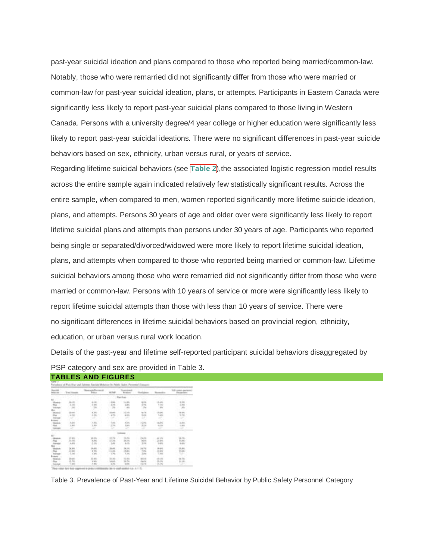past-year suicidal ideation and plans compared to those who reported being married/common-law. Notably, those who were remarried did not significantly differ from those who were married or common-law for past-year suicidal ideation, plans, or attempts. Participants in Eastern Canada were significantly less likely to report past-year suicidal plans compared to those living in Western Canada. Persons with a university degree/4 year college or higher education were significantly less likely to report past-year suicidal ideations. There were no significant differences in past-year suicide behaviors based on sex, ethnicity, urban versus rural, or years of service.

Regarding lifetime suicidal behaviors (see **Table 2**),the associated logistic regression model results across the entire sample again indicated relatively few statistically significant results. Across the entire sample, when compared to men, women reported significantly more lifetime suicide ideation, plans, and attempts. Persons 30 years of age and older over were significantly less likely to report lifetime suicidal plans and attempts than persons under 30 years of age. Participants who reported being single or separated/divorced/widowed were more likely to report lifetime suicidal ideation, plans, and attempts when compared to those who reported being married or common-law. Lifetime suicidal behaviors among those who were remarried did not significantly differ from those who were married or common-law. Persons with 10 years of service or more were significantly less likely to report lifetime suicidal attempts than those with less than 10 years of service. There were no significant differences in lifetime suicidal behaviors based on provincial region, ethnicity, education, or urban versus rural work location.

Details of the past-year and lifetime self-reported participant suicidal behaviors disaggregated by PSP category and sex are provided in Table 3.

| <b>MALLAST</b> | Week Har       |            |               | <b>Francisco</b>    |                            |            | Ville comes special |
|----------------|----------------|------------|---------------|---------------------|----------------------------|------------|---------------------|
|                |                |            |               | Ratcher             |                            |            |                     |
|                |                |            |               | in<br>Si            |                            | E          | m                   |
|                |                | ş          | ᇎ             | 뜪                   | 證                          | 谓          | 19                  |
| mili           | 1911           | 詤          | a.            | tin<br>Lin          | 喘<br>÷                     | A116       | $1 - 2 = 1$<br>149  |
|                |                |            |               |                     |                            |            |                     |
|                | t.             | m          | 1-in          | ü                   | 語                          | 铝          | e                   |
|                | 13.004<br>List | 锆          | $1 - 1$<br>問題 | m<br>Y.PE           | 12<br>146                  | 22<br>Link | 弫                   |
| E              | 嘂<br>1.610     | ti an<br>镖 | 岀<br>$+11$    | 岀<br><b>ALCOHOL</b> | in to:<br>in ki<br>13, 140 | 岀<br>55    | 14.346.             |

**TABLES AND FIGURES**

Table 3. Prevalence of Past-Year and Lifetime Suicidal Behavior by Public Safety Personnel Category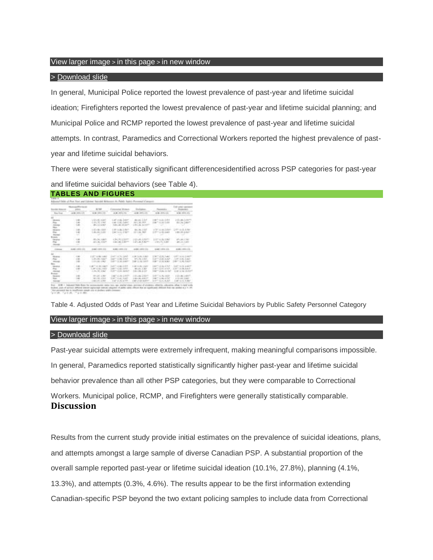## View larger image > in this page > in new window

## > [Download](http://psycnet.apa.org/ftasset/journals/cap/59/3/slides/cap_59_3_220_tbl3a.ppt) slide

In general, Municipal Police reported the lowest prevalence of past-year and lifetime suicidal ideation; Firefighters reported the lowest prevalence of past-year and lifetime suicidal planning; and Municipal Police and RCMP reported the lowest prevalence of past-year and lifetime suicidal attempts. In contrast, Paramedics and Correctional Workers reported the highest prevalence of pastyear and lifetime suicidal behaviors.

There were several statistically significant differencesidentified across PSP categories for past-year and lifetime suicidal behaviors (see Table 4). **TABLES AND FIGURES**

|                             | <b>Street and Development</b><br>Total Room | Control Miller                             | Caracterist Montan.              | ENVIRONMENT.                  | - Warranty Co.                            | I all solar second<br><b>Program des</b> |
|-----------------------------|---------------------------------------------|--------------------------------------------|----------------------------------|-------------------------------|-------------------------------------------|------------------------------------------|
| Box 5.64                    |                                             | 449-14039-1-120-2                          | ALCOHOL: NO                      | AND APRILES                   | AGE AVAILABLE                             | with street and                          |
|                             |                                             |                                            |                                  |                               |                                           |                                          |
| 1 Modern                    | 1,1981                                      | VEHR 1465                                  | 1.40 × 16. 1.000 × 1.00 × 1.00 * |                               | LIBERTY STUDIES STARTS                    | <b>LIST LIBRARY COMPANY</b>              |
| Find 1                      | $-1.00$                                     | 15.00 N. L. Mail                           | LARCOLL LARCOLL AND LARCOLL      |                               | THE TANK LIKE                             | 49.04 (49.77)                            |
| <b>Address</b>              | $-1.00$                                     | - 00113.5 MH                               | Tolk Last Johnson                | - LANCING BANK                |                                           |                                          |
| <b>Tiker</b>                |                                             |                                            |                                  |                               |                                           |                                          |
| <b>TRIGGER</b>              | $-1.00$                                     | $-1.47 - 48 - 1.4 + 1.$<br>11.001.001.0020 | 1.000 to 200, 2.000 PM           | Pro. 49, 1, 217               | LCP is an Indee-<br>graded country August | 1.001.01.01<br>LIBELIAN AUGUST           |
| Plus.                       | 1.32<br>$\sim$                              |                                            | 1987 S.O. LINEY                  | the property and the first of |                                           |                                          |
| Accessor -<br>Laura,        |                                             |                                            |                                  |                               |                                           |                                          |
|                             | C. August                                   | 491-14, 1-807-1                            | 4. The C. PAY of Statement       | THE CAR LEADER                | THE R. P. LEWIS                           | 45.46.1740                               |
| <b>Genetical</b><br>Press - | $+ 100$                                     | 1  (81) 384-4-8407                         | 110 120 120 111                  |                               | LEVALANCE LINERALIST                      | WILL FLASH                               |
| <b>SECONDS</b>              | m                                           |                                            | ___                              |                               |                                           | __                                       |
|                             |                                             |                                            |                                  |                               |                                           |                                          |
| A designation               |                                             | <b>HURLISTEN CO., L. MARCHAEL EXC.</b>     |                                  |                               |                                           | ALCOHOL: 131-132-133-1                   |
|                             |                                             |                                            |                                  |                               |                                           |                                          |
| <b>Moderation</b>           | <b>List</b>                                 | <b>EXPERIENCE</b>                          | Louisville St. Land              | as the fourteen in the fi-    | player white huge is                      | LEFT A 22 S ANT                          |
| Post Co.                    | $+46$                                       | $-1.49 \pm 0.01$ , $1.48 \pm 0.01$         | Louis Louis Links                | AFTL PALL EXECUT              | A 1977 will all, At Audi-                 | LIF H.R. Law-                            |
| <b>STATISTICS</b>           | 1.001                                       | THRUSAN A BASE                             | Later on M. Later                | logic car and logically       | SHIPPY six also accepts                   | STRATT LA MA A MARTY                     |
|                             |                                             |                                            |                                  |                               |                                           |                                          |
| <b>NAVARIA -</b>            | List."                                      | 10070 WALNUT                               | April 14, 801-8-2717.            | 1.20 Inch, Light              | LESTING BLACK                             | LEFTS IS LESS                            |
| n.                          | $-40$                                       | 2.40 years 1987                            | Lastrout air Labor.              | 461 Also, J. 3611             |                                           | FWT 2010 ANY 1 ART SIA AAR               |
| <b>HENRY</b>                | - 13                                        | 1.00-50, Lttp:                             | A DATE of MAL ANGELE.            | 24109-1-12                    | A day " column and read-                  | A 24 or in children                      |
| <b>Distance</b>             |                                             |                                            |                                  |                               |                                           |                                          |
| <b>Records</b>              | $-46.46$                                    | 491.44.1.36                                | Learn of the Limited             | 10 to 49, 2, March            | LIGHT ALSO, LANK                          | Christian Leaders                        |
| This.                       | 1.149                                       | 110011-0012                                | 100714-01127                     | THE R. LEWIS                  | THE TABLE IS NOT                          | The products present                     |
| <b>Santa</b>                | a di                                        | $-46 - 47, 1.04$                           | 1-47 to 76, a 1931 -             | THE COST-AGENT                | $1.377$ Sect. 4, M-F                      | 1. A 491 to 21. A 5927                   |

Table 4. Adjusted Odds of Past Year and Lifetime Suicidal Behaviors by Public Safety Personnel Category

## View larger image > in this page > in new window

## > [Download](http://psycnet.apa.org/ftasset/journals/cap/59/3/slides/cap_59_3_220_tbl4a.ppt) slide

Past-year suicidal attempts were extremely infrequent, making meaningful comparisons impossible. In general, Paramedics reported statistically significantly higher past-year and lifetime suicidal behavior prevalence than all other PSP categories, but they were comparable to Correctional Workers. Municipal police, RCMP, and Firefighters were generally statistically comparable. **Discussion**

Results from the current study provide initial estimates on the prevalence of suicidal ideations, plans, and attempts amongst a large sample of diverse Canadian PSP. A substantial proportion of the overall sample reported past-year or lifetime suicidal ideation (10.1%, 27.8%), planning (4.1%, 13.3%), and attempts (0.3%, 4.6%). The results appear to be the first information extending Canadian-specific PSP beyond the two extant policing samples to include data from Correctional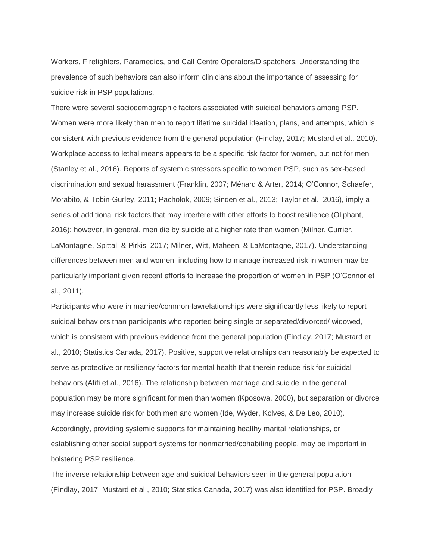Workers, Firefighters, Paramedics, and Call Centre Operators/Dispatchers. Understanding the prevalence of such behaviors can also inform clinicians about the importance of assessing for suicide risk in PSP populations.

There were several sociodemographic factors associated with suicidal behaviors among PSP. Women were more likely than men to report lifetime suicidal ideation, plans, and attempts, which is consistent with previous evidence from the general population (Findlay, 2017; Mustard et al., 2010). Workplace access to lethal means appears to be a specific risk factor for women, but not for men (Stanley et al., 2016). Reports of systemic stressors specific to women PSP, such as sex-based discrimination and sexual harassment (Franklin, 2007; Ménard & Arter, 2014; O'Connor, Schaefer, Morabito, & Tobin-Gurley, 2011; Pacholok, 2009; Sinden et al., 2013; Taylor et al., 2016), imply a series of additional risk factors that may interfere with other efforts to boost resilience (Oliphant, 2016); however, in general, men die by suicide at a higher rate than women (Milner, Currier, LaMontagne, Spittal, & Pirkis, 2017; Milner, Witt, Maheen, & LaMontagne, 2017). Understanding differences between men and women, including how to manage increased risk in women may be particularly important given recent efforts to increase the proportion of women in PSP (O'Connor et al., 2011).

Participants who were in married/common-lawrelationships were significantly less likely to report suicidal behaviors than participants who reported being single or separated/divorced/ widowed, which is consistent with previous evidence from the general population (Findlay, 2017; Mustard et al., 2010; Statistics Canada, 2017). Positive, supportive relationships can reasonably be expected to serve as protective or resiliency factors for mental health that therein reduce risk for suicidal behaviors (Afifi et al., 2016). The relationship between marriage and suicide in the general population may be more significant for men than women (Kposowa, 2000), but separation or divorce may increase suicide risk for both men and women (Ide, Wyder, Kolves, & De Leo, 2010). Accordingly, providing systemic supports for maintaining healthy marital relationships, or establishing other social support systems for nonmarried/cohabiting people, may be important in bolstering PSP resilience.

The inverse relationship between age and suicidal behaviors seen in the general population (Findlay, 2017; Mustard et al., 2010; Statistics Canada, 2017) was also identified for PSP. Broadly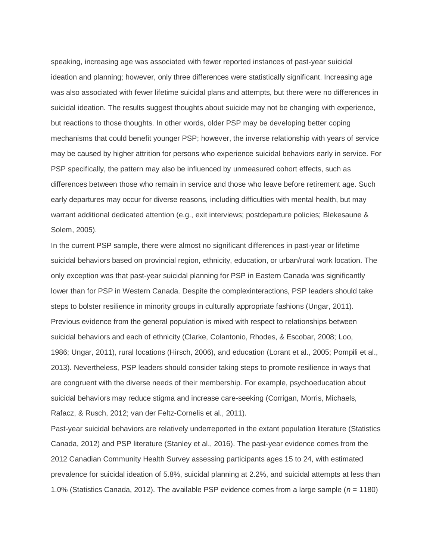speaking, increasing age was associated with fewer reported instances of past-year suicidal ideation and planning; however, only three differences were statistically significant. Increasing age was also associated with fewer lifetime suicidal plans and attempts, but there were no differences in suicidal ideation. The results suggest thoughts about suicide may not be changing with experience, but reactions to those thoughts. In other words, older PSP may be developing better coping mechanisms that could benefit younger PSP; however, the inverse relationship with years of service may be caused by higher attrition for persons who experience suicidal behaviors early in service. For PSP specifically, the pattern may also be influenced by unmeasured cohort effects, such as differences between those who remain in service and those who leave before retirement age. Such early departures may occur for diverse reasons, including difficulties with mental health, but may warrant additional dedicated attention (e.g., exit interviews; postdeparture policies; Blekesaune & Solem, 2005).

In the current PSP sample, there were almost no significant differences in past-year or lifetime suicidal behaviors based on provincial region, ethnicity, education, or urban/rural work location. The only exception was that past-year suicidal planning for PSP in Eastern Canada was significantly lower than for PSP in Western Canada. Despite the complexinteractions, PSP leaders should take steps to bolster resilience in minority groups in culturally appropriate fashions (Ungar, 2011). Previous evidence from the general population is mixed with respect to relationships between suicidal behaviors and each of ethnicity (Clarke, Colantonio, Rhodes, & Escobar, 2008; Loo, 1986; Ungar, 2011), rural locations (Hirsch, 2006), and education (Lorant et al., 2005; Pompili et al., 2013). Nevertheless, PSP leaders should consider taking steps to promote resilience in ways that are congruent with the diverse needs of their membership. For example, psychoeducation about suicidal behaviors may reduce stigma and increase care-seeking (Corrigan, Morris, Michaels, Rafacz, & Rusch, 2012; van der Feltz-Cornelis et al., 2011).

Past-year suicidal behaviors are relatively underreported in the extant population literature (Statistics Canada, 2012) and PSP literature (Stanley et al., 2016). The past-year evidence comes from the 2012 Canadian Community Health Survey assessing participants ages 15 to 24, with estimated prevalence for suicidal ideation of 5.8%, suicidal planning at 2.2%, and suicidal attempts at less than 1.0% (Statistics Canada, 2012). The available PSP evidence comes from a large sample (*n* = 1180)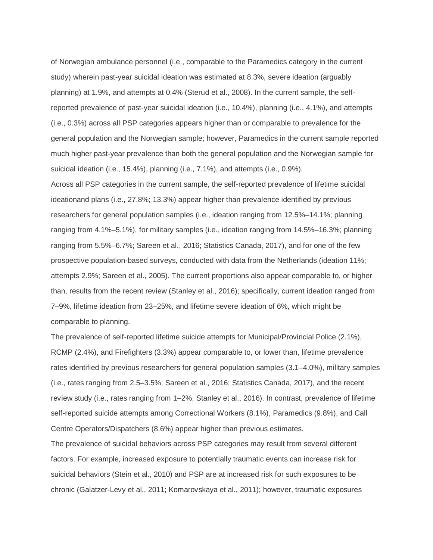of Norwegian ambulance personnel (i.e., comparable to the Paramedics category in the current study) wherein past-year suicidal ideation was estimated at 8.3%, severe ideation (arguably planning) at 1.9%, and attempts at 0.4% (Sterud et al., 2008). In the current sample, the selfreported prevalence of past-year suicidal ideation (i.e., 10.4%), planning (i.e., 4.1%), and attempts (i.e., 0.3%) across all PSP categories appears higher than or comparable to prevalence for the general population and the Norwegian sample; however, Paramedics in the current sample reported much higher past-year prevalence than both the general population and the Norwegian sample for suicidal ideation (i.e., 15.4%), planning (i.e., 7.1%), and attempts (i.e., 0.9%).

Across all PSP categories in the current sample, the self-reported prevalence of lifetime suicidal ideationand plans (i.e., 27.8%; 13.3%) appear higher than prevalence identified by previous researchers for general population samples (i.e., ideation ranging from 12.5%–14.1%; planning ranging from 4.1%–5.1%), for military samples (i.e., ideation ranging from 14.5%–16.3%; planning ranging from 5.5%–6.7%; Sareen et al., 2016; Statistics Canada, 2017), and for one of the few prospective population-based surveys, conducted with data from the Netherlands (ideation 11%; attempts 2.9%; Sareen et al., 2005). The current proportions also appear comparable to, or higher than, results from the recent review (Stanley et al., 2016); specifically, current ideation ranged from 7–9%, lifetime ideation from 23–25%, and lifetime severe ideation of 6%, which might be comparable to planning.

The prevalence of self-reported lifetime suicide attempts for Municipal/Provincial Police (2.1%), RCMP (2.4%), and Firefighters (3.3%) appear comparable to, or lower than, lifetime prevalence rates identified by previous researchers for general population samples (3.1–4.0%), military samples (i.e., rates ranging from 2.5–3.5%; Sareen et al., 2016; Statistics Canada, 2017), and the recent review study (i.e., rates ranging from 1–2%; Stanley et al., 2016). In contrast, prevalence of lifetime self-reported suicide attempts among Correctional Workers (8.1%), Paramedics (9.8%), and Call Centre Operators/Dispatchers (8.6%) appear higher than previous estimates.

The prevalence of suicidal behaviors across PSP categories may result from several different factors. For example, increased exposure to potentially traumatic events can increase risk for suicidal behaviors (Stein et al., 2010) and PSP are at increased risk for such exposures to be chronic (Galatzer-Levy et al., 2011; Komarovskaya et al., 2011); however, traumatic exposures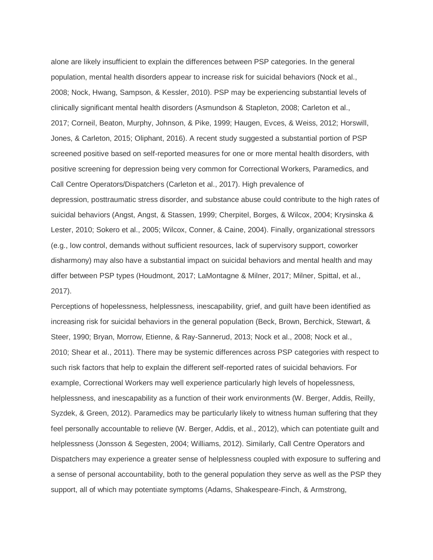alone are likely insufficient to explain the differences between PSP categories. In the general population, mental health disorders appear to increase risk for suicidal behaviors (Nock et al., 2008; Nock, Hwang, Sampson, & Kessler, 2010). PSP may be experiencing substantial levels of clinically significant mental health disorders (Asmundson & Stapleton, 2008; Carleton et al., 2017; Corneil, Beaton, Murphy, Johnson, & Pike, 1999; Haugen, Evces, & Weiss, 2012; Horswill, Jones, & Carleton, 2015; Oliphant, 2016). A recent study suggested a substantial portion of PSP screened positive based on self-reported measures for one or more mental health disorders, with positive screening for depression being very common for Correctional Workers, Paramedics, and Call Centre Operators/Dispatchers (Carleton et al., 2017). High prevalence of depression, posttraumatic stress disorder, and substance abuse could contribute to the high rates of suicidal behaviors (Angst, Angst, & Stassen, 1999; Cherpitel, Borges, & Wilcox, 2004; Krysinska & Lester, 2010; Sokero et al., 2005; Wilcox, Conner, & Caine, 2004). Finally, organizational stressors (e.g., low control, demands without sufficient resources, lack of supervisory support, coworker disharmony) may also have a substantial impact on suicidal behaviors and mental health and may differ between PSP types (Houdmont, 2017; LaMontagne & Milner, 2017; Milner, Spittal, et al., 2017).

Perceptions of hopelessness, helplessness, inescapability, grief, and guilt have been identified as increasing risk for suicidal behaviors in the general population (Beck, Brown, Berchick, Stewart, & Steer, 1990; Bryan, Morrow, Etienne, & Ray-Sannerud, 2013; Nock et al., 2008; Nock et al., 2010; Shear et al., 2011). There may be systemic differences across PSP categories with respect to such risk factors that help to explain the different self-reported rates of suicidal behaviors. For example, Correctional Workers may well experience particularly high levels of hopelessness, helplessness, and inescapability as a function of their work environments (W. Berger, Addis, Reilly, Syzdek, & Green, 2012). Paramedics may be particularly likely to witness human suffering that they feel personally accountable to relieve (W. Berger, Addis, et al., 2012), which can potentiate guilt and helplessness (Jonsson & Segesten, 2004; Williams, 2012). Similarly, Call Centre Operators and Dispatchers may experience a greater sense of helplessness coupled with exposure to suffering and a sense of personal accountability, both to the general population they serve as well as the PSP they support, all of which may potentiate symptoms (Adams, Shakespeare-Finch, & Armstrong,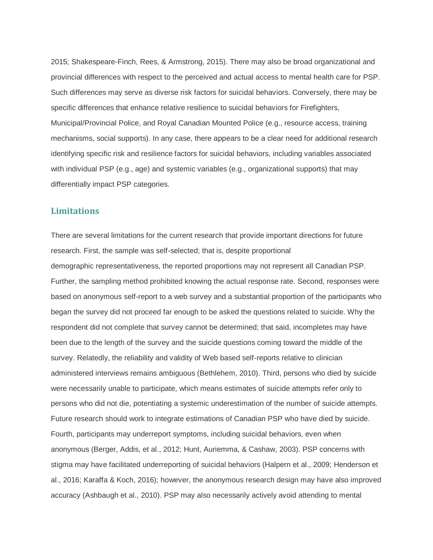2015; Shakespeare-Finch, Rees, & Armstrong, 2015). There may also be broad organizational and provincial differences with respect to the perceived and actual access to mental health care for PSP. Such differences may serve as diverse risk factors for suicidal behaviors. Conversely, there may be specific differences that enhance relative resilience to suicidal behaviors for Firefighters, Municipal/Provincial Police, and Royal Canadian Mounted Police (e.g., resource access, training mechanisms, social supports). In any case, there appears to be a clear need for additional research identifying specific risk and resilience factors for suicidal behaviors, including variables associated with individual PSP (e.g., age) and systemic variables (e.g., organizational supports) that may differentially impact PSP categories.

# **Limitations**

There are several limitations for the current research that provide important directions for future research. First, the sample was self-selected; that is, despite proportional demographic representativeness, the reported proportions may not represent all Canadian PSP. Further, the sampling method prohibited knowing the actual response rate. Second, responses were based on anonymous self-report to a web survey and a substantial proportion of the participants who began the survey did not proceed far enough to be asked the questions related to suicide. Why the respondent did not complete that survey cannot be determined; that said, incompletes may have been due to the length of the survey and the suicide questions coming toward the middle of the survey. Relatedly, the reliability and validity of Web based self-reports relative to clinician administered interviews remains ambiguous (Bethlehem, 2010). Third, persons who died by suicide were necessarily unable to participate, which means estimates of suicide attempts refer only to persons who did not die, potentiating a systemic underestimation of the number of suicide attempts. Future research should work to integrate estimations of Canadian PSP who have died by suicide. Fourth, participants may underreport symptoms, including suicidal behaviors, even when anonymous (Berger, Addis, et al., 2012; Hunt, Auriemma, & Cashaw, 2003). PSP concerns with stigma may have facilitated underreporting of suicidal behaviors (Halpern et al., 2009; Henderson et al., 2016; Karaffa & Koch, 2016); however, the anonymous research design may have also improved accuracy (Ashbaugh et al., 2010). PSP may also necessarily actively avoid attending to mental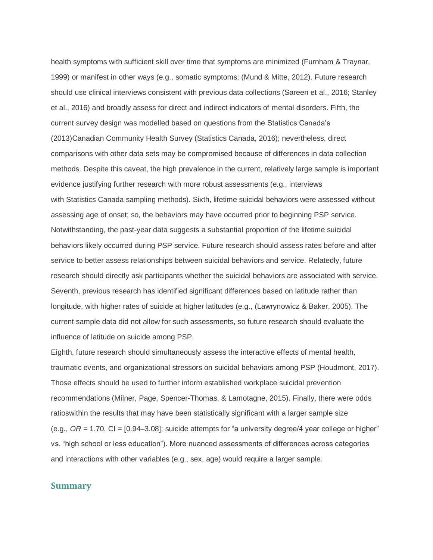health symptoms with sufficient skill over time that symptoms are minimized (Furnham & Traynar, 1999) or manifest in other ways (e.g., somatic symptoms; (Mund & Mitte, 2012). Future research should use clinical interviews consistent with previous data collections (Sareen et al., 2016; Stanley et al., 2016) and broadly assess for direct and indirect indicators of mental disorders. Fifth, the current survey design was modelled based on questions from the Statistics Canada's (2013)Canadian Community Health Survey (Statistics Canada, 2016); nevertheless, direct comparisons with other data sets may be compromised because of differences in data collection methods. Despite this caveat, the high prevalence in the current, relatively large sample is important evidence justifying further research with more robust assessments (e.g., interviews with Statistics Canada sampling methods). Sixth, lifetime suicidal behaviors were assessed without assessing age of onset; so, the behaviors may have occurred prior to beginning PSP service. Notwithstanding, the past-year data suggests a substantial proportion of the lifetime suicidal behaviors likely occurred during PSP service. Future research should assess rates before and after service to better assess relationships between suicidal behaviors and service. Relatedly, future research should directly ask participants whether the suicidal behaviors are associated with service. Seventh, previous research has identified significant differences based on latitude rather than longitude, with higher rates of suicide at higher latitudes (e.g., (Lawrynowicz & Baker, 2005). The current sample data did not allow for such assessments, so future research should evaluate the influence of latitude on suicide among PSP.

Eighth, future research should simultaneously assess the interactive effects of mental health, traumatic events, and organizational stressors on suicidal behaviors among PSP (Houdmont, 2017). Those effects should be used to further inform established workplace suicidal prevention recommendations (Milner, Page, Spencer-Thomas, & Lamotagne, 2015). Finally, there were odds ratioswithin the results that may have been statistically significant with a larger sample size (e.g.,  $OR = 1.70$ ,  $CI = [0.94–3.08]$ ; suicide attempts for "a university degree/4 year college or higher" vs. "high school or less education"). More nuanced assessments of differences across categories and interactions with other variables (e.g., sex, age) would require a larger sample.

## **Summary**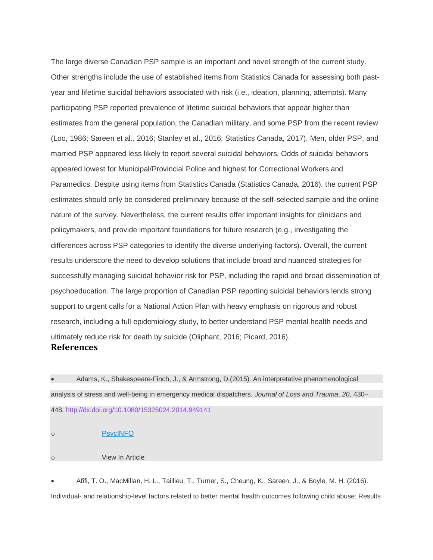The large diverse Canadian PSP sample is an important and novel strength of the current study. Other strengths include the use of established items from Statistics Canada for assessing both pastyear and lifetime suicidal behaviors associated with risk (i.e., ideation, planning, attempts). Many participating PSP reported prevalence of lifetime suicidal behaviors that appear higher than estimates from the general population, the Canadian military, and some PSP from the recent review (Loo, 1986; Sareen et al., 2016; Stanley et al., 2016; Statistics Canada, 2017). Men, older PSP, and married PSP appeared less likely to report several suicidal behaviors. Odds of suicidal behaviors appeared lowest for Municipal/Provincial Police and highest for Correctional Workers and Paramedics. Despite using items from Statistics Canada (Statistics Canada, 2016), the current PSP estimates should only be considered preliminary because of the self-selected sample and the online nature of the survey. Nevertheless, the current results offer important insights for clinicians and policymakers, and provide important foundations for future research (e.g., investigating the differences across PSP categories to identify the diverse underlying factors). Overall, the current results underscore the need to develop solutions that include broad and nuanced strategies for successfully managing suicidal behavior risk for PSP, including the rapid and broad dissemination of psychoeducation. The large proportion of Canadian PSP reporting suicidal behaviors lends strong support to urgent calls for a National Action Plan with heavy emphasis on rigorous and robust research, including a full epidemiology study, to better understand PSP mental health needs and ultimately reduce risk for death by suicide (Oliphant, 2016; Picard, 2016). **References**

• Adams, K., Shakespeare-Finch, J., & Armstrong, D.(2015). An interpretative phenomenological analysis of stress and well-being in emergency medical dispatchers. *Journal of Loss and Trauma*, *20*, 430– 448. <http://dx.doi.org/10.1080/15325024.2014.949141>

o [PsycINFO](http://psycnet.apa.org/record/2015-34796-004) o View In Article

• Afifi, T. O., MacMillan, H. L., Taillieu, T., Turner, S., Cheung, K., Sareen, J., & Boyle, M. H. (2016). Individual- and relationship-level factors related to better mental health outcomes following child abuse: Results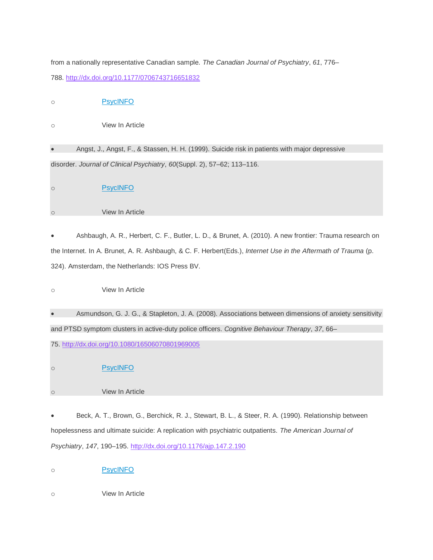from a nationally representative Canadian sample. *The Canadian Journal of Psychiatry*, *61*, 776– 788. <http://dx.doi.org/10.1177/0706743716651832>

o [PsycINFO](http://psycnet.apa.org/record/2016-55145-005)

o View In Article

• Angst, J., Angst, F., & Stassen, H. H. (1999). Suicide risk in patients with major depressive disorder. *Journal of Clinical Psychiatry*, *60*(Suppl. 2), 57–62; 113–116.

o [PsycINFO](http://psycnet.apa.org/record/1999-10282-009)

## o View In Article

• Ashbaugh, A. R., Herbert, C. F., Butler, L. D., & Brunet, A. (2010). A new frontier: Trauma research on the Internet. In A. Brunet, A. R. Ashbaugh, & C. F. Herbert(Eds.), *Internet Use in the Aftermath of Trauma* (p. 324). Amsterdam, the Netherlands: IOS Press BV.

o View In Article

• Asmundson, G. J. G., & Stapleton, J. A. (2008). Associations between dimensions of anxiety sensitivity and PTSD symptom clusters in active-duty police officers. *Cognitive Behaviour Therapy*, *37*, 66–

75. <http://dx.doi.org/10.1080/16506070801969005>

o [PsycINFO](http://psycnet.apa.org/record/2008-06495-002)

o View In Article

• Beck, A. T., Brown, G., Berchick, R. J., Stewart, B. L., & Steer, R. A. (1990). Relationship between hopelessness and ultimate suicide: A replication with psychiatric outpatients. *The American Journal of Psychiatry*, *147*, 190–195. <http://dx.doi.org/10.1176/ajp.147.2.190>

o [PsycINFO](http://psycnet.apa.org/record/1990-17137-001)

o View In Article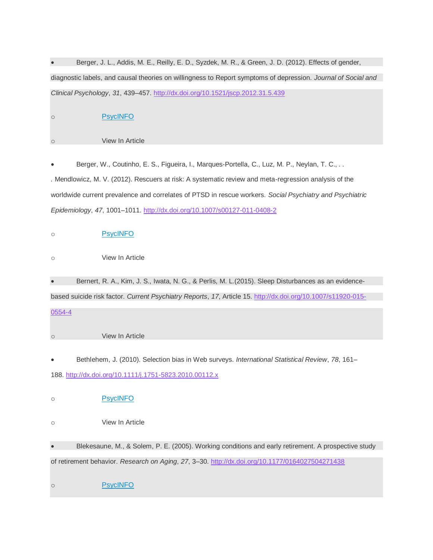|            | Berger, J. L., Addis, M. E., Reilly, E. D., Syzdek, M. R., & Green, J. D. (2012). Effects of gender,          |
|------------|---------------------------------------------------------------------------------------------------------------|
|            | diagnostic labels, and causal theories on willingness to Report symptoms of depression. Journal of Social and |
|            | Clinical Psychology, 31, 439-457. http://dx.doi.org/10.1521/jscp.2012.31.5.439                                |
| $\circ$    | <b>PsycINFO</b>                                                                                               |
| $\circ$    | View In Article                                                                                               |
|            | Berger, W., Coutinho, E. S., Figueira, I., Marques-Portella, C., Luz, M. P., Neylan, T. C.,                   |
|            | . Mendlowicz, M. V. (2012). Rescuers at risk: A systematic review and meta-regression analysis of the         |
|            | worldwide current prevalence and correlates of PTSD in rescue workers. Social Psychiatry and Psychiatric      |
|            | Epidemiology, 47, 1001-1011. http://dx.doi.org/10.1007/s00127-011-0408-2                                      |
| $\circ$    | <b>PsycINFO</b>                                                                                               |
| $\circ$    | View In Article                                                                                               |
| $\bullet$  | Bernert, R. A., Kim, J. S., Iwata, N. G., & Perlis, M. L. (2015). Sleep Disturbances as an evidence-          |
|            | based suicide risk factor. Current Psychiatry Reports, 17, Article 15. http://dx.doi.org/10.1007/s11920-015-  |
| 0554-4     |                                                                                                               |
| $\circ$    | View In Article                                                                                               |
|            | Bethlehem, J. (2010). Selection bias in Web surveys. International Statistical Review, 78, 161-               |
|            | 188. http://dx.doi.org/10.1111/j.1751-5823.2010.00112.x                                                       |
| $\circ$    | <b>PsycINFO</b>                                                                                               |
| $\circ$    | View In Article                                                                                               |
| $\bullet$  | Blekesaune, M., & Solem, P. E. (2005). Working conditions and early retirement. A prospective study           |
|            | of retirement behavior. Research on Aging, 27, 3-30. http://dx.doi.org/10.1177/0164027504271438               |
| $\bigcirc$ | <b>PsycINFO</b>                                                                                               |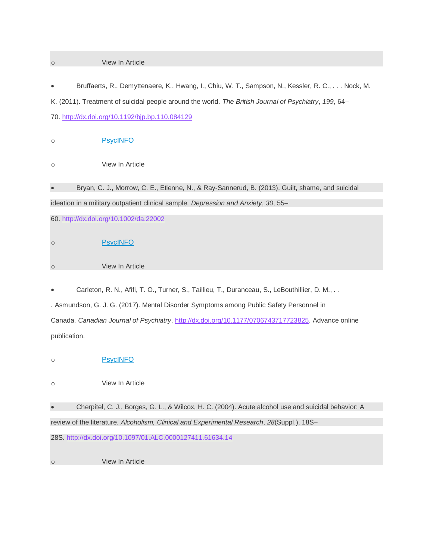## o View In Article

• Bruffaerts, R., Demyttenaere, K., Hwang, I., Chiu, W. T., Sampson, N., Kessler, R. C., *. . .* Nock, M. K. (2011). Treatment of suicidal people around the world. *The British Journal of Psychiatry*, *199*, 64– 70. <http://dx.doi.org/10.1192/bjp.bp.110.084129>

o [PsycINFO](http://psycnet.apa.org/record/2011-22407-013)

o View In Article

• Bryan, C. J., Morrow, C. E., Etienne, N., & Ray-Sannerud, B. (2013). Guilt, shame, and suicidal ideation in a military outpatient clinical sample. *Depression and Anxiety*, *30*, 55–

60. <http://dx.doi.org/10.1002/da.22002>

o [PsycINFO](http://psycnet.apa.org/record/2013-00708-010) o View In Article

• Carleton, R. N., Afifi, T. O., Turner, S., Taillieu, T., Duranceau, S., LeBouthillier, D. M., *. . .* Asmundson, G. J. G. (2017). Mental Disorder Symptoms among Public Safety Personnel in Canada. *Canadian Journal of Psychiatry*, [http://dx.doi.org/10.1177/0706743717723825.](http://dx.doi.org/10.1177/0706743717723825) Advance online publication.

o [PsycINFO](http://psycnet.apa.org/record/2018-03676-007)

o View In Article

• Cherpitel, C. J., Borges, G. L., & Wilcox, H. C. (2004). Acute alcohol use and suicidal behavior: A review of the literature. *Alcoholism, Clinical and Experimental Research*, *28*(Suppl.), 18S–

28S. <http://dx.doi.org/10.1097/01.ALC.0000127411.61634.14>

o View In Article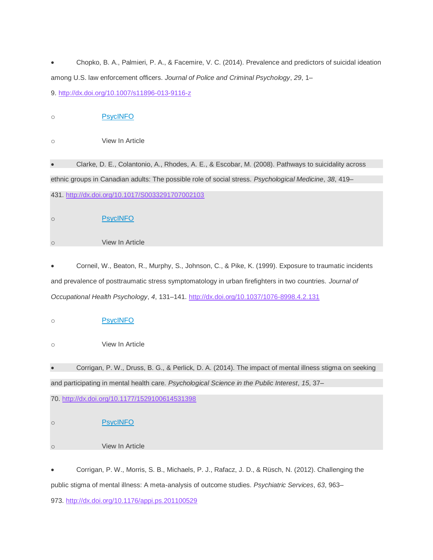• Chopko, B. A., Palmieri, P. A., & Facemire, V. C. (2014). Prevalence and predictors of suicidal ideation among U.S. law enforcement officers. *Journal of Police and Criminal Psychology*, *29*, 1– 9. <http://dx.doi.org/10.1007/s11896-013-9116-z>

o [PsycINFO](http://psycnet.apa.org/record/2013-04326-001)

o View In Article

• Clarke, D. E., Colantonio, A., Rhodes, A. E., & Escobar, M. (2008). Pathways to suicidality across ethnic groups in Canadian adults: The possible role of social stress. *Psychological Medicine*, *38*, 419– 431. <http://dx.doi.org/10.1017/S0033291707002103>

o [PsycINFO](http://psycnet.apa.org/record/2008-03714-013)

o View In Article

• Corneil, W., Beaton, R., Murphy, S., Johnson, C., & Pike, K. (1999). Exposure to traumatic incidents and prevalence of posttraumatic stress symptomatology in urban firefighters in two countries. *Journal of Occupational Health Psychology*, *4*, 131–141. <http://dx.doi.org/10.1037/1076-8998.4.2.131>

o [PsycINFO](http://psycnet.apa.org/record/1999-10525-005)

o View In Article

• Corrigan, P. W., Druss, B. G., & Perlick, D. A. (2014). The impact of mental illness stigma on seeking and participating in mental health care. *Psychological Science in the Public Interest*, *15*, 37– 70. <http://dx.doi.org/10.1177/1529100614531398>

o <mark>[PsycINFO](http://psycnet.apa.org/record/2014-42744-003)</mark> o View In Article

• Corrigan, P. W., Morris, S. B., Michaels, P. J., Rafacz, J. D., & Rüsch, N. (2012). Challenging the public stigma of mental illness: A meta-analysis of outcome studies. *Psychiatric Services*, *63*, 963– 973. <http://dx.doi.org/10.1176/appi.ps.201100529>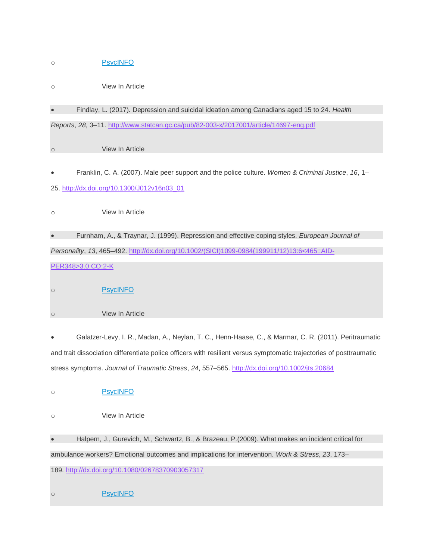# o [PsycINFO](http://psycnet.apa.org/record/2013-00066-006)

- o View In Article
- Findlay, L. (2017). Depression and suicidal ideation among Canadians aged 15 to 24. *Health*

*Reports*, *28*, 3–11. <http://www.statcan.gc.ca/pub/82-003-x/2017001/article/14697-eng.pdf>

o View In Article

• Franklin, C. A. (2007). Male peer support and the police culture. *Women & Criminal Justice*, *16*, 1– 25. [http://dx.doi.org/10.1300/J012v16n03\\_01](http://dx.doi.org/10.1300/J012v16n03_01)

o View In Article

• Furnham, A., & Traynar, J. (1999). Repression and effective coping styles. *European Journal of Personality*, *13*, 465–492. [http://dx.doi.org/10.1002/\(SICI\)1099-0984\(199911/12\)13:6<465::AID-](http://dx.doi.org/10.1002/(SICI)1099-0984(199911/12)13:6%3c465::AID-PER348%3e3.0.CO;2-K)[PER348>3.0.CO;2-K](http://dx.doi.org/10.1002/(SICI)1099-0984(199911/12)13:6%3c465::AID-PER348%3e3.0.CO;2-K)

- o [PsycINFO](http://psycnet.apa.org/record/2000-13608-001)
- o View In Article

• Galatzer-Levy, I. R., Madan, A., Neylan, T. C., Henn-Haase, C., & Marmar, C. R. (2011). Peritraumatic and trait dissociation differentiate police officers with resilient versus symptomatic trajectories of posttraumatic stress symptoms. *Journal of Traumatic Stress*, *24*, 557–565. <http://dx.doi.org/10.1002/jts.20684>

o [PsycINFO](http://psycnet.apa.org/record/2011-22524-010)

o View In Article

• Halpern, J., Gurevich, M., Schwartz, B., & Brazeau, P.(2009). What makes an incident critical for ambulance workers? Emotional outcomes and implications for intervention. *Work & Stress*, *23*, 173– 189. <http://dx.doi.org/10.1080/02678370903057317>

o [PsycINFO](http://psycnet.apa.org/record/2009-11531-005)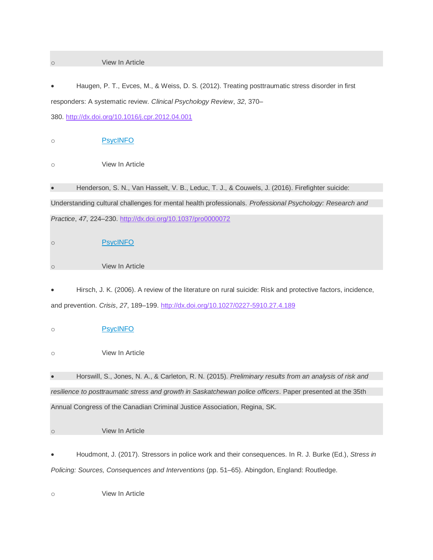### o View In Article

• Haugen, P. T., Evces, M., & Weiss, D. S. (2012). Treating posttraumatic stress disorder in first responders: A systematic review. *Clinical Psychology Review*, *32*, 370– 380. <http://dx.doi.org/10.1016/j.cpr.2012.04.001>

o [PsycINFO](http://psycnet.apa.org/record/2012-15659-003)

o View In Article

• Henderson, S. N., Van Hasselt, V. B., Leduc, T. J., & Couwels, J. (2016). Firefighter suicide: Understanding cultural challenges for mental health professionals. *Professional Psychology: Research and Practice*, *47*, 224–230. <http://dx.doi.org/10.1037/pro0000072>

o [PsycINFO](http://psycnet.apa.org/record/2016-22448-001) o View In Article

• Hirsch, J. K. (2006). A review of the literature on rural suicide: Risk and protective factors, incidence, and prevention. *Crisis*, *27*, 189–199. <http://dx.doi.org/10.1027/0227-5910.27.4.189>

o [PsycINFO](http://psycnet.apa.org/record/2007-01586-006)

o View In Article

• Horswill, S., Jones, N. A., & Carleton, R. N. (2015). *Preliminary results from an analysis of risk and resilience to posttraumatic stress and growth in Saskatchewan police officers*. Paper presented at the 35th Annual Congress of the Canadian Criminal Justice Association, Regina, SK.

o View In Article

• Houdmont, J. (2017). Stressors in police work and their consequences. In R. J. Burke (Ed.), *Stress in Policing: Sources, Consequences and Interventions* (pp. 51–65). Abingdon, England: Routledge.

o View In Article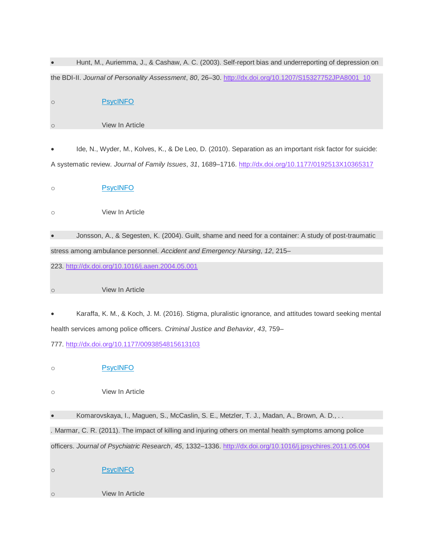|                     | Hunt, M., Auriemma, J., & Cashaw, A. C. (2003). Self-report bias and underreporting of depression on         |
|---------------------|--------------------------------------------------------------------------------------------------------------|
|                     | the BDI-II. Journal of Personality Assessment, 80, 26-30. http://dx.doi.org/10.1207/S15327752JPA8001_10      |
| $\circlearrowright$ | <b>PsycINFO</b>                                                                                              |
| $\circ$             | View In Article                                                                                              |
|                     | Ide, N., Wyder, M., Kolves, K., & De Leo, D. (2010). Separation as an important risk factor for suicide:     |
|                     | A systematic review. Journal of Family Issues, 31, 1689-1716. http://dx.doi.org/10.1177/0192513X10365317     |
| $\circ$             | <b>PsycINFO</b>                                                                                              |
| $\circlearrowright$ | View In Article                                                                                              |
|                     | Jonsson, A., & Segesten, K. (2004). Guilt, shame and need for a container: A study of post-traumatic         |
|                     | stress among ambulance personnel. Accident and Emergency Nursing, 12, 215–                                   |
|                     | 223. http://dx.doi.org/10.1016/j.aaen.2004.05.001                                                            |
| $\circlearrowright$ | View In Article                                                                                              |
|                     | Karaffa, K. M., & Koch, J. M. (2016). Stigma, pluralistic ignorance, and attitudes toward seeking mental     |
|                     | health services among police officers. Criminal Justice and Behavior, 43, 759-                               |
|                     | 777. http://dx.doi.org/10.1177/0093854815613103                                                              |
| O                   | <b>PsycINFO</b>                                                                                              |
| $\circ$             | View In Article                                                                                              |
|                     | Komarovskaya, I., Maguen, S., McCaslin, S. E., Metzler, T. J., Madan, A., Brown, A. D.,                      |
|                     | . Marmar, C. R. (2011). The impact of killing and injuring others on mental health symptoms among police     |
|                     | officers. Journal of Psychiatric Research, 45, 1332-1336. http://dx.doi.org/10.1016/j.jpsychires.2011.05.004 |
| $\circ$             | <b>PsycINFO</b>                                                                                              |
| $\circ$             | View In Article                                                                                              |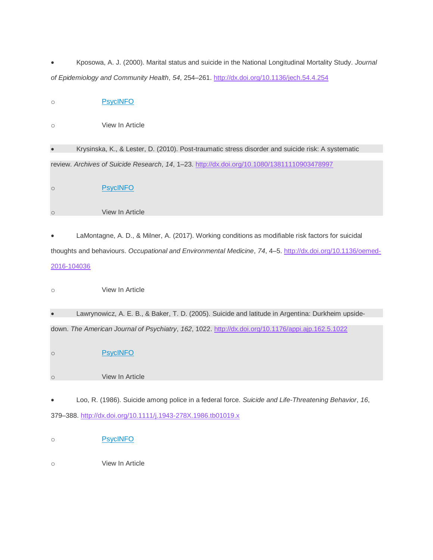| Kposowa, A. J. (2000). Marital status and suicide in the National Longitudinal Mortality Study. Journal |  |  |  |  |
|---------------------------------------------------------------------------------------------------------|--|--|--|--|
| of Epidemiology and Community Health, 54, 254-261. http://dx.doi.org/10.1136/jech.54.4.254              |  |  |  |  |

o [PsycINFO](http://psycnet.apa.org/record/2000-08009-001)

o View In Article

• Krysinska, K., & Lester, D. (2010). Post-traumatic stress disorder and suicide risk: A systematic review. *Archives of Suicide Research*, *14*, 1–23. <http://dx.doi.org/10.1080/13811110903478997>

o [PsycINFO](http://psycnet.apa.org/record/2010-02018-001)

o View In Article

• LaMontagne, A. D., & Milner, A. (2017). Working conditions as modifiable risk factors for suicidal thoughts and behaviours. Occupational and Environmental Medicine, 74, 4–5. [http://dx.doi.org/10.1136/oemed-](http://dx.doi.org/10.1136/oemed-2016-104036)[2016-104036](http://dx.doi.org/10.1136/oemed-2016-104036)

o View In Article

• Lawrynowicz, A. E. B., & Baker, T. D. (2005). Suicide and latitude in Argentina: Durkheim upsidedown. *The American Journal of Psychiatry*, *162*, 1022. <http://dx.doi.org/10.1176/appi.ajp.162.5.1022>

o **[PsycINFO](http://psycnet.apa.org/record/2005-04693-033)** 

o View In Article

• Loo, R. (1986). Suicide among police in a federal force. *Suicide and Life-Threatening Behavior*, *16*, 379–388. <http://dx.doi.org/10.1111/j.1943-278X.1986.tb01019.x>

o <mark>[PsycINFO](http://psycnet.apa.org/record/1988-04683-001)</mark>

o View In Article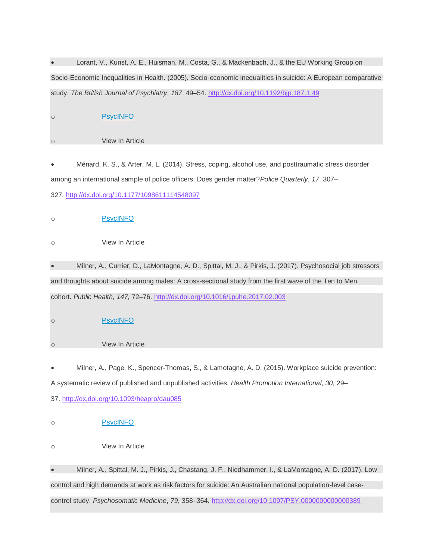• Lorant, V., Kunst, A. E., Huisman, M., Costa, G., & Mackenbach, J., & the EU Working Group on Socio-Economic Inequalities in Health. (2005). Socio-economic inequalities in suicide: A European comparative study. *The British Journal of Psychiatry*, *187*, 49–54. <http://dx.doi.org/10.1192/bjp.187.1.49> o [PsycINFO](http://psycnet.apa.org/record/2005-08206-009)

| $\circ$ | View In Article                                                                                             |
|---------|-------------------------------------------------------------------------------------------------------------|
|         |                                                                                                             |
|         | Ménard, K. S., & Arter, M. L. (2014). Stress, coping, alcohol use, and posttraumatic stress disorder        |
|         | among an international sample of police officers: Does gender matter? Police Quarterly, 17, 307-            |
|         | 327. http://dx.doi.org/10.1177/1098611114548097                                                             |
| $\circ$ | <b>PsycINFO</b>                                                                                             |
| $\circ$ | View In Article                                                                                             |
|         | Milner, A., Currier, D., LaMontagne, A. D., Spittal, M. J., & Pirkis, J. (2017). Psychosocial job stressors |
|         | and thoughts about suicide among males: A cross-sectional study from the first wave of the Ten to Men       |
|         | cohort. Public Health, 147, 72-76. http://dx.doi.org/10.1016/j.puhe.2017.02.003                             |
| $\circ$ | <b>PsycINFO</b>                                                                                             |
| $\circ$ | View In Article                                                                                             |
|         | Milner, A., Page, K., Spencer-Thomas, S., & Lamotagne, A. D. (2015). Workplace suicide prevention:          |
|         | A systematic review of published and unpublished activities. Health Promotion International, 30, 29-        |
|         | 37. http://dx.doi.org/10.1093/heapro/dau085                                                                 |
| $\circ$ | <b>PsycINFO</b>                                                                                             |
| $\circ$ | View In Article                                                                                             |

• Milner, A., Spittal, M. J., Pirkis, J., Chastang, J. F., Niedhammer, I., & LaMontagne, A. D. (2017). Low control and high demands at work as risk factors for suicide: An Australian national population-level casecontrol study. *Psychosomatic Medicine*, *79*, 358–364. <http://dx.doi.org/10.1097/PSY.0000000000000389>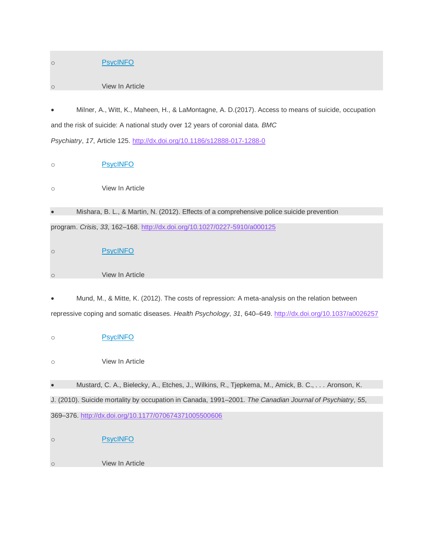| $\circ$             | <b>PsycINFO</b>                                                                                            |
|---------------------|------------------------------------------------------------------------------------------------------------|
| $\circ$             | View In Article                                                                                            |
|                     |                                                                                                            |
|                     | Milner, A., Witt, K., Maheen, H., & LaMontagne, A. D. (2017). Access to means of suicide, occupation       |
|                     | and the risk of suicide: A national study over 12 years of coronial data. BMC                              |
|                     | Psychiatry, 17, Article 125. http://dx.doi.org/10.1186/s12888-017-1288-0                                   |
| $\circ$             | <b>PsycINFO</b>                                                                                            |
| $\bigcirc$          | View In Article                                                                                            |
|                     | Mishara, B. L., & Martin, N. (2012). Effects of a comprehensive police suicide prevention                  |
|                     | program. Crisis, 33, 162-168. http://dx.doi.org/10.1027/0227-5910/a000125                                  |
| $\circ$             | <b>PsycINFO</b>                                                                                            |
| $\circ$             | View In Article                                                                                            |
|                     |                                                                                                            |
|                     | Mund, M., & Mitte, K. (2012). The costs of repression: A meta-analysis on the relation between             |
|                     | repressive coping and somatic diseases. Health Psychology, 31, 640-649. http://dx.doi.org/10.1037/a0026257 |
| $\circ$             | <b>PsycINFO</b>                                                                                            |
| $\circlearrowright$ | View In Article                                                                                            |
| $\bullet$           | Mustard, C. A., Bielecky, A., Etches, J., Wilkins, R., Tjepkema, M., Amick, B. C., Aronson, K.             |
|                     | J. (2010). Suicide mortality by occupation in Canada, 1991–2001. The Canadian Journal of Psychiatry, 55,   |
|                     | 369-376. http://dx.doi.org/10.1177/070674371005500606                                                      |
| $\circ$             | <b>PsycINFO</b>                                                                                            |
| $\circ$             | View In Article                                                                                            |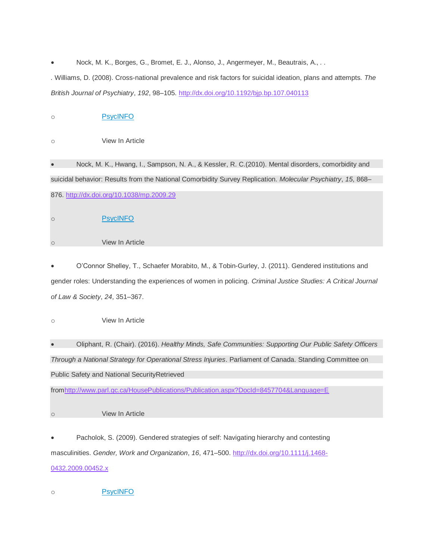• Nock, M. K., Borges, G., Bromet, E. J., Alonso, J., Angermeyer, M., Beautrais, A., *. . .* Williams, D. (2008). Cross-national prevalence and risk factors for suicidal ideation, plans and attempts. *The British Journal of Psychiatry*, *192*, 98–105. <http://dx.doi.org/10.1192/bjp.bp.107.040113>

| Nock, M. K., Hwang, I., Sampson, N. A., & Kessler, R. C. (2010). Mental disorders, comorbidity and          |
|-------------------------------------------------------------------------------------------------------------|
| suicidal behavior: Results from the National Comorbidity Survey Replication. Molecular Psychiatry, 15, 868– |
|                                                                                                             |
|                                                                                                             |
|                                                                                                             |

• O'Connor Shelley, T., Schaefer Morabito, M., & Tobin-Gurley, J. (2011). Gendered institutions and gender roles: Understanding the experiences of women in policing. *Criminal Justice Studies: A Critical Journal of Law & Society*, *24*, 351–367.

o View In Article

o View In Article

• Oliphant, R. (Chair). (2016). *Healthy Minds, Safe Communities: Supporting Our Public Safety Officers Through a National Strategy for Operational Stress Injuries*. Parliament of Canada. Standing Committee on Public Safety and National SecurityRetrieved

fro[mhttp://www.parl.gc.ca/HousePublications/Publication.aspx?DocId=8457704&Language=E](http://www.parl.gc.ca/HousePublications/Publication.aspx?DocId=8457704&Language=E)

o View In Article

• Pacholok, S. (2009). Gendered strategies of self: Navigating hierarchy and contesting masculinities. *Gender, Work and Organization*, *16*, 471–500. [http://dx.doi.org/10.1111/j.1468-](http://dx.doi.org/10.1111/j.1468-0432.2009.00452.x) [0432.2009.00452.x](http://dx.doi.org/10.1111/j.1468-0432.2009.00452.x)

o [PsycINFO](http://psycnet.apa.org/record/2009-09756-004)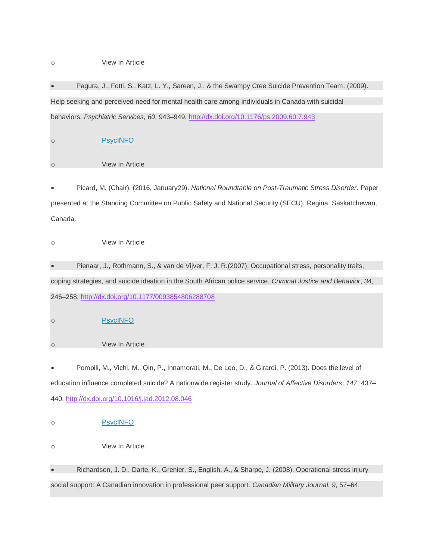## o View In Article

• Pagura, J., Fotti, S., Katz, L. Y., Sareen, J., & the Swampy Cree Suicide Prevention Team. (2009). Help seeking and perceived need for mental health care among individuals in Canada with suicidal behaviors. *Psychiatric Services*, *60*, 943–949. <http://dx.doi.org/10.1176/ps.2009.60.7.943>

o [PsycINFO](http://psycnet.apa.org/record/2009-10163-011) o View In Article

• Picard, M. (Chair). (2016, January29). *National Roundtable on Post-Traumatic Stress Disorder*. Paper presented at the Standing Committee on Public Safety and National Security (SECU), Regina, Saskatchewan, Canada.

o View In Article

• Pienaar, J., Rothmann, S., & van de Vijver, F. J. R.(2007). Occupational stress, personality traits, coping strategies, and suicide ideation in the South African police service. *Criminal Justice and Behavior*, *34*, 246–258. <http://dx.doi.org/10.1177/0093854806288708>

o [PsycINFO](http://psycnet.apa.org/record/2007-01825-006)

o View In Article

• Pompili, M., Vichi, M., Qin, P., Innamorati, M., De Leo, D., & Girardi, P. (2013). Does the level of education influence completed suicide? A nationwide register study. *Journal of Affective Disorders*, *147*, 437– 440. <http://dx.doi.org/10.1016/j.jad.2012.08.046>

o **[PsycINFO](http://psycnet.apa.org/record/2013-19360-029)** 

o View In Article

• Richardson, J. D., Darte, K., Grenier, S., English, A., & Sharpe, J. (2008). Operational stress injury social support: A Canadian innovation in professional peer support. *Canadian Military Journal*, *9*, 57–64.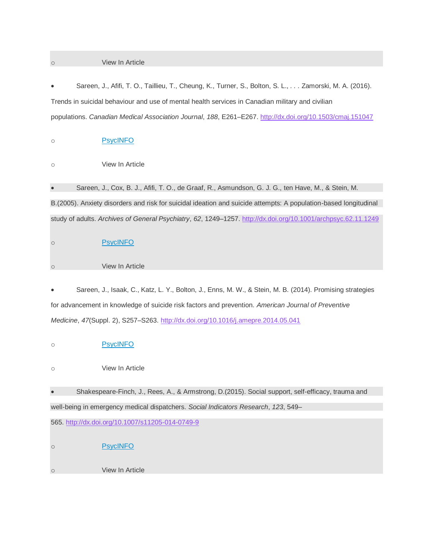## o View In Article

• Sareen, J., Afifi, T. O., Taillieu, T., Cheung, K., Turner, S., Bolton, S. L., *. . .* Zamorski, M. A. (2016). Trends in suicidal behaviour and use of mental health services in Canadian military and civilian populations. *Canadian Medical Association Journal*, *188*, E261–E267. <http://dx.doi.org/10.1503/cmaj.151047>

o [PsycINFO](http://psycnet.apa.org/record/2016-49609-004)

o View In Article

o [PsycINFO](http://psycnet.apa.org/record/2014-35102-027)

• Sareen, J., Cox, B. J., Afifi, T. O., de Graaf, R., Asmundson, G. J. G., ten Have, M., & Stein, M. B.(2005). Anxiety disorders and risk for suicidal ideation and suicide attempts: A population-based longitudinal study of adults. *Archives of General Psychiatry*, *62*, 1249–1257. <http://dx.doi.org/10.1001/archpsyc.62.11.1249>

o [PsycINFO](http://psycnet.apa.org/record/2005-14366-008) o View In Article

• Sareen, J., Isaak, C., Katz, L. Y., Bolton, J., Enns, M. W., & Stein, M. B. (2014). Promising strategies for advancement in knowledge of suicide risk factors and prevention. *American Journal of Preventive Medicine*, *47*(Suppl. 2), S257–S263. <http://dx.doi.org/10.1016/j.amepre.2014.05.041>

o View In Article • Shakespeare-Finch, J., Rees, A., & Armstrong, D.(2015). Social support, self-efficacy, trauma and well-being in emergency medical dispatchers. *Social Indicators Research*, *123*, 549– 565. <http://dx.doi.org/10.1007/s11205-014-0749-9> o **[PsycINFO](http://psycnet.apa.org/record/2014-36914-001)** o View In Article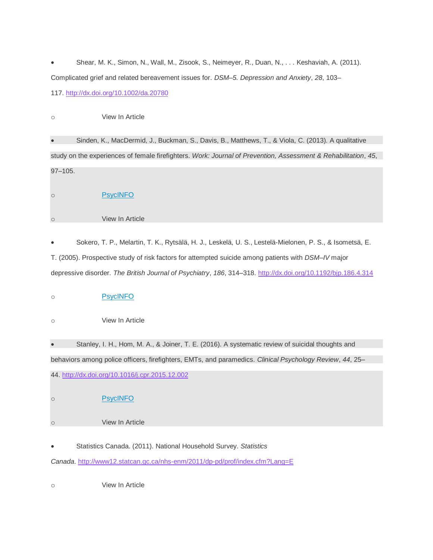• Shear, M. K., Simon, N., Wall, M., Zisook, S., Neimeyer, R., Duan, N., *. . .* Keshaviah, A. (2011). Complicated grief and related bereavement issues for. *DSM–5. Depression and Anxiety*, *28*, 103– 117. <http://dx.doi.org/10.1002/da.20780>

o View In Article

• Sinden, K., MacDermid, J., Buckman, S., Davis, B., Matthews, T., & Viola, C. (2013). A qualitative study on the experiences of female firefighters. *Work: Journal of Prevention, Assessment & Rehabilitation*, *45*, 97–105.

o [PsycINFO](http://psycnet.apa.org/record/2013-16591-011)

o View In Article

• Sokero, T. P., Melartin, T. K., Rytsälä, H. J., Leskelä, U. S., Lestelä-Mielonen, P. S., & Isometsä, E. T. (2005). Prospective study of risk factors for attempted suicide among patients with *DSM–IV* major depressive disorder. *The British Journal of Psychiatry*, *186*, 314–318. <http://dx.doi.org/10.1192/bjp.186.4.314>

| $\circ$   | <b>PsycINFO</b>                                                                                          |
|-----------|----------------------------------------------------------------------------------------------------------|
| $\circ$   | View In Article                                                                                          |
| $\bullet$ | Stanley, I. H., Hom, M. A., & Joiner, T. E. (2016). A systematic review of suicidal thoughts and         |
|           |                                                                                                          |
|           | behaviors among police officers, firefighters, EMTs, and paramedics. Clinical Psychology Review, 44, 25– |
|           |                                                                                                          |
|           | 44. http://dx.doi.org/10.1016/j.cpr.2015.12.002                                                          |
| $\circ$   | <b>PsycINFO</b>                                                                                          |
| $\circ$   | View In Article                                                                                          |
| $\bullet$ | Statistics Canada. (2011). National Household Survey. Statistics                                         |

*Canada*. <http://www12.statcan.gc.ca/nhs-enm/2011/dp-pd/prof/index.cfm?Lang=E>

o View In Article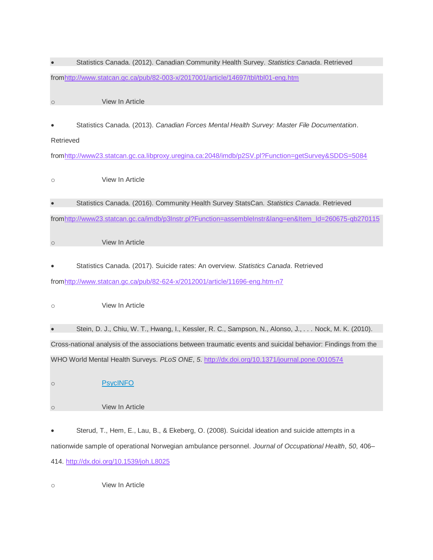| $\bullet$           | Statistics Canada. (2012). Canadian Community Health Survey. Statistics Canada. Retrieved                     |
|---------------------|---------------------------------------------------------------------------------------------------------------|
|                     | fromhttp://www.statcan.gc.ca/pub/82-003-x/2017001/article/14697/tbl/tbl01-eng.htm                             |
| $\circ$             | View In Article                                                                                               |
|                     |                                                                                                               |
|                     | Statistics Canada. (2013). Canadian Forces Mental Health Survey: Master File Documentation.                   |
| Retrieved           |                                                                                                               |
|                     | fromhttp://www23.statcan.gc.ca.libproxy.uregina.ca:2048/imdb/p2SV.pl?Function=getSurvey&SDDS=5084             |
| $\circlearrowright$ | View In Article                                                                                               |
| $\bullet$           | Statistics Canada. (2016). Community Health Survey StatsCan. Statistics Canada. Retrieved                     |
|                     | fromhttp://www23.statcan.gc.ca/imdb/p3lnstr.pl?Function=assembleInstr⟨=en&Item_Id=260675-qb270115             |
| $\circ$             | View In Article                                                                                               |
|                     | Statistics Canada. (2017). Suicide rates: An overview. Statistics Canada. Retrieved                           |
|                     | fromhttp://www.statcan.gc.ca/pub/82-624-x/2012001/article/11696-eng.htm-n7                                    |
|                     |                                                                                                               |
| $\circlearrowright$ | View In Article                                                                                               |
| $\bullet$           | Stein, D. J., Chiu, W. T., Hwang, I., Kessler, R. C., Sampson, N., Alonso, J., Nock, M. K. (2010).            |
|                     | Cross-national analysis of the associations between traumatic events and suicidal behavior: Findings from the |
|                     | WHO World Mental Health Surveys. PLoS ONE, 5. http://dx.doi.org/10.1371/journal.pone.0010574                  |
| $\circ$             | <b>PsycINFO</b>                                                                                               |
| $\circ$             | View In Article                                                                                               |
| ٠                   | Sterud, T., Hem, E., Lau, B., & Ekeberg, O. (2008). Suicidal ideation and suicide attempts in a               |
|                     | nationwide sample of operational Norwegian ambulance personnel. Journal of Occupational Health, 50, 406-      |
|                     | 414. http://dx.doi.org/10.1539/joh.L8025                                                                      |

o View In Article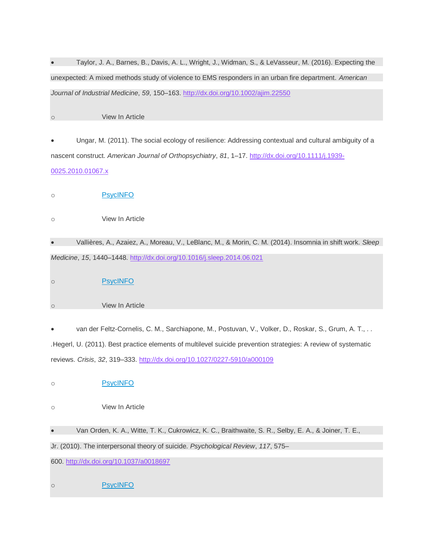• Taylor, J. A., Barnes, B., Davis, A. L., Wright, J., Widman, S., & LeVasseur, M. (2016). Expecting the unexpected: A mixed methods study of violence to EMS responders in an urban fire department. *American Journal of Industrial Medicine*, *59*, 150–163. <http://dx.doi.org/10.1002/ajim.22550>

o View In Article

• Ungar, M. (2011). The social ecology of resilience: Addressing contextual and cultural ambiguity of a nascent construct. *American Journal of Orthopsychiatry*, *81*, 1–17. [http://dx.doi.org/10.1111/j.1939-](http://dx.doi.org/10.1111/j.1939-0025.2010.01067.x) [0025.2010.01067.x](http://dx.doi.org/10.1111/j.1939-0025.2010.01067.x)

o [PsycINFO](http://psycnet.apa.org/record/2012-11011-001)

o View In Article

• Vallières, A., Azaiez, A., Moreau, V., LeBlanc, M., & Morin, C. M. (2014). Insomnia in shift work. *Sleep Medicine*, *15*, 1440–1448. <http://dx.doi.org/10.1016/j.sleep.2014.06.021>

| $\cap$ | <b>PsycINFO</b> |
|--------|-----------------|
|        |                 |

o View In Article

• van der Feltz-Cornelis, C. M., Sarchiapone, M., Postuvan, V., Volker, D., Roskar, S., Grum, A. T., *. . .*Hegerl, U. (2011). Best practice elements of multilevel suicide prevention strategies: A review of systematic reviews. *Crisis*, *32*, 319–333. <http://dx.doi.org/10.1027/0227-5910/a000109>

o [PsycINFO](http://psycnet.apa.org/record/2011-29240-004)

o View In Article

• Van Orden, K. A., Witte, T. K., Cukrowicz, K. C., Braithwaite, S. R., Selby, E. A., & Joiner, T. E., Jr. (2010). The interpersonal theory of suicide. *Psychological Review*, *117*, 575–

600. <http://dx.doi.org/10.1037/a0018697>

o [PsycINFO](http://psycnet.apa.org/record/2010-06891-010)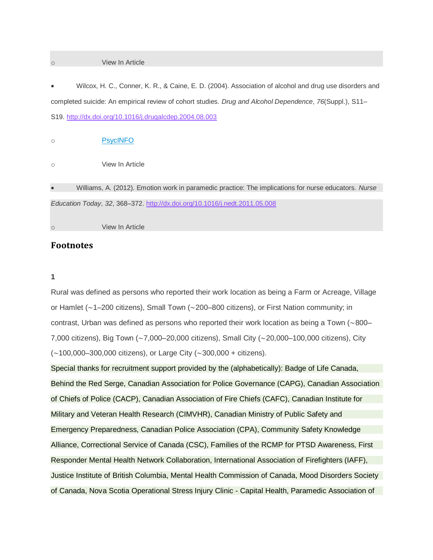#### o View In Article

• Wilcox, H. C., Conner, K. R., & Caine, E. D. (2004). Association of alcohol and drug use disorders and completed suicide: An empirical review of cohort studies. *Drug and Alcohol Dependence*, *76*(Suppl.), S11– S19. <http://dx.doi.org/10.1016/j.drugalcdep.2004.08.003>

o [PsycINFO](http://psycnet.apa.org/record/2004-22270-003)

o View In Article

• Williams, A. (2012). Emotion work in paramedic practice: The implications for nurse educators. *Nurse Education Today*, *32*, 368–372. <http://dx.doi.org/10.1016/j.nedt.2011.05.008>

View In Article

# **Footnotes**

## **1**

Rural was defined as persons who reported their work location as being a Farm or Acreage, Village or Hamlet (∼1–200 citizens), Small Town (∼200–800 citizens), or First Nation community; in contrast, Urban was defined as persons who reported their work location as being a Town (∼800– 7,000 citizens), Big Town (∼7,000–20,000 citizens), Small City (∼20,000–100,000 citizens), City (∼100,000–300,000 citizens), or Large City (∼300,000 + citizens).

Special thanks for recruitment support provided by the (alphabetically): Badge of Life Canada, Behind the Red Serge, Canadian Association for Police Governance (CAPG), Canadian Association of Chiefs of Police (CACP), Canadian Association of Fire Chiefs (CAFC), Canadian Institute for Military and Veteran Health Research (CIMVHR), Canadian Ministry of Public Safety and Emergency Preparedness, Canadian Police Association (CPA), Community Safety Knowledge Alliance, Correctional Service of Canada (CSC), Families of the RCMP for PTSD Awareness, First Responder Mental Health Network Collaboration, International Association of Firefighters (IAFF), Justice Institute of British Columbia, Mental Health Commission of Canada, Mood Disorders Society of Canada, Nova Scotia Operational Stress Injury Clinic - Capital Health, Paramedic Association of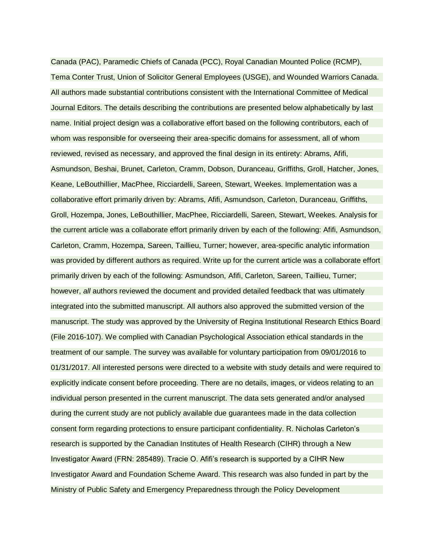Canada (PAC), Paramedic Chiefs of Canada (PCC), Royal Canadian Mounted Police (RCMP), Tema Conter Trust, Union of Solicitor General Employees (USGE), and Wounded Warriors Canada. All authors made substantial contributions consistent with the International Committee of Medical Journal Editors. The details describing the contributions are presented below alphabetically by last name. Initial project design was a collaborative effort based on the following contributors, each of whom was responsible for overseeing their area-specific domains for assessment, all of whom reviewed, revised as necessary, and approved the final design in its entirety: Abrams, Afifi, Asmundson, Beshai, Brunet, Carleton, Cramm, Dobson, Duranceau, Griffiths, Groll, Hatcher, Jones, Keane, LeBouthillier, MacPhee, Ricciardelli, Sareen, Stewart, Weekes. Implementation was a collaborative effort primarily driven by: Abrams, Afifi, Asmundson, Carleton, Duranceau, Griffiths, Groll, Hozempa, Jones, LeBouthillier, MacPhee, Ricciardelli, Sareen, Stewart, Weekes. Analysis for the current article was a collaborate effort primarily driven by each of the following: Afifi, Asmundson, Carleton, Cramm, Hozempa, Sareen, Taillieu, Turner; however, area-specific analytic information was provided by different authors as required. Write up for the current article was a collaborate effort primarily driven by each of the following: Asmundson, Afifi, Carleton, Sareen, Taillieu, Turner; however, *all* authors reviewed the document and provided detailed feedback that was ultimately integrated into the submitted manuscript. All authors also approved the submitted version of the manuscript. The study was approved by the University of Regina Institutional Research Ethics Board (File 2016-107). We complied with Canadian Psychological Association ethical standards in the treatment of our sample. The survey was available for voluntary participation from 09/01/2016 to 01/31/2017. All interested persons were directed to a website with study details and were required to explicitly indicate consent before proceeding. There are no details, images, or videos relating to an individual person presented in the current manuscript. The data sets generated and/or analysed during the current study are not publicly available due guarantees made in the data collection consent form regarding protections to ensure participant confidentiality. R. Nicholas Carleton's research is supported by the Canadian Institutes of Health Research (CIHR) through a New Investigator Award (FRN: 285489). Tracie O. Afifi's research is supported by a CIHR New Investigator Award and Foundation Scheme Award. This research was also funded in part by the Ministry of Public Safety and Emergency Preparedness through the Policy Development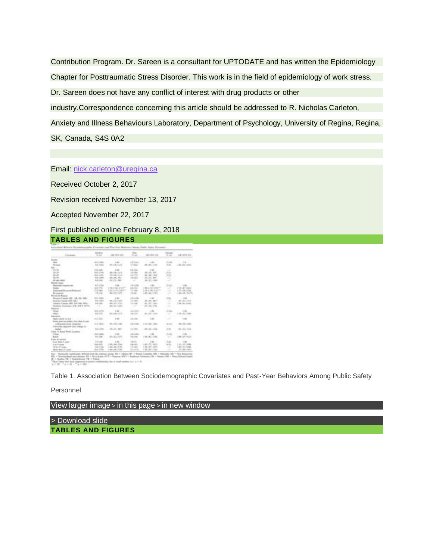Contribution Program. Dr. Sareen is a consultant for UPTODATE and has written the Epidemiology Chapter for Posttraumatic Stress Disorder. This work is in the field of epidemiology of work stress.

Dr. Sareen does not have any conflict of interest with drug products or other

industry.Correspondence concerning this article should be addressed to R. Nicholas Carleton,

Anxiety and Illness Behaviours Laboratory, Department of Psychology, University of Regina, Regina, SK, Canada, S4S 0A2

Email: [nick.carleton@uregina.ca](mailto:nick.carleton@uregina.ca)

Received October 2, 2017

Revision received November 13, 2017

Accepted November 22, 2017

First published online February 8, 2018

## **TABLES AND FIGURES**

| <b>Caracter</b><br>AT JOHN<br>$-201.5$ / GHz.<br>Automo-<br><b>TELL</b><br>$-1.001$<br><b>STAR</b><br>THE R. P. LEWIS CO., LANSING<br>$4011.36 + 155$<br>48-140-2 (100-<br>$1 - 20$<br>37,402<br>148.183.0451<br><b>Wilmester</b><br>$-$ , which should be<br><b>Ball</b><br><b>Hitchcock</b><br>in all others<br>1.140.00<br>1.44<br>$\sim$<br>$-$<br>30-30 -<br><b>SALE LYNAX</b><br>$3.5 - 36 -$<br>ALL ALL MAY<br><b>CAME</b><br>49-14039-1-120-2<br>a police.<br>1. Auto<br><b>All US</b><br>DO & LORES<br>Photo Rd. 3. Auto<br>As 1.69, 1.601<br>$\sim$<br><b>Six Car</b><br>3 million<br>ALLEL MAY<br>Michigan, Miller<br>KIN LORD.<br>ALCOHOL: NEW<br>\$10 US\$<br>401111140<br><b>GE-AND-HARAS</b><br>$\sim$<br>Mumat Sales<br>.<br>At 7. of Tax.<br>4.4-4786<br>$-1446$<br>1. August<br>$-14.46$<br>$-46$<br>218187440<br>or Montreal Anders<br><b>AAHEE</b><br>I do in the train<br>$\sim$<br>$-$ That the fifth $\sim$<br><b>SHOW</b><br>$2.51 \pm 19.1$ and $27$<br>1.14 c 36 1.5 c<br>$\sim$<br>4.97.1.84.9.09<br>114.00c<br>1.6 (1984)<br>and in the company of<br>4.86.1.39.25.25<br>491, 722, 11-773<br><b>J-871-AA, 3, (50)</b><br>The pres-<br>14.40<br>$\sim$<br><b>Britannia</b><br><b>Protestant Automo-</b><br>$10-$<br>Romes Cassis, INC. 18.<br>$1 - 24$<br>44.458<br>In 1 (30)<br><b>START IN</b><br><b>SLAUSES</b><br><b>BELLY R. P. ANY</b><br>$-331.81.487$<br>÷<br>Denison County (OR 1)<br>3.1 JULY<br>Merced of Stri-<br>America: Il pascolo (MA) Feds. Hills, MATL 2 .-<br>ALLEL HWY<br><b>STATISTICS</b><br>3.5.1994<br>$\sim$<br>Moddayes Transmiss-17-8, NWT-78170-<br>$\rightarrow$<br>481-23. 1405<br>$-27 + 56 + 1766$<br>$\omega$<br>$\sim$<br>Elderache<br>as I while<br>4.014993<br>Links<br>1.44<br><b>Artist</b><br><b>COMPANY</b><br>$-$ 1.000 and<br>And office<br>811/86 1-772<br>A Author:<br>ALL 1.5 & 1.5 R.<br>1151131785<br><b><i><u>Product amend</u></i></b><br>act my<br>4.4 (4.00)<br>High total in the County of<br>$+ 100$<br>three post-servicies rates dues in pag-<br>$-1.1$ (1981)<br>1111146-144c<br>$48 + 54 + 440$<br>$400 - 762 = 366$<br>44,446<br>$-0.0133$<br>unforgolate entity, programs<br>Transporters degrees to each entiting of<br>$-011.43.118$<br><b>KIND</b><br>Structure and<br>3.1 (49)<br>4951, 311, 3130<br>3.61<br>matur.<br>Ullian to Bund West Lausinez<br>.<br>A double and<br>Auto Bay<br><b>Built Lights</b><br>$-1.000$<br><b>COMME</b><br>12 Made<br>duce<br>491143.1 672<br>$\sim$<br>248137 91A<br>to a com-<br>14.00<br>198181-798<br><b>Electrician</b><br>1. Lotus<br>TO MARK FOR<br>11.0160<br>1.001<br>1.81%<br><b>Sight Board &amp; Justice</b><br>$=$<br><b>Standard Address</b><br>1100 AM 234<br>149172, 1470<br>141.01.946<br>ARVEN<br>14 Okto<br>dealer and con-<br>11.80 - Att 7.70 -<br>1.28.1.81.2.80c<br>101111-046<br>this children.<br>SLA corner<br>1 Posts | Course.                       | <b>Distance</b><br>the case of | . come soldiers a City |           | A part of the series of the | to sell the control of the |
|----------------------------------------------------------------------------------------------------------------------------------------------------------------------------------------------------------------------------------------------------------------------------------------------------------------------------------------------------------------------------------------------------------------------------------------------------------------------------------------------------------------------------------------------------------------------------------------------------------------------------------------------------------------------------------------------------------------------------------------------------------------------------------------------------------------------------------------------------------------------------------------------------------------------------------------------------------------------------------------------------------------------------------------------------------------------------------------------------------------------------------------------------------------------------------------------------------------------------------------------------------------------------------------------------------------------------------------------------------------------------------------------------------------------------------------------------------------------------------------------------------------------------------------------------------------------------------------------------------------------------------------------------------------------------------------------------------------------------------------------------------------------------------------------------------------------------------------------------------------------------------------------------------------------------------------------------------------------------------------------------------------------------------------------------------------------------------------------------------------------------------------------------------------------------------------------------------------------------------------------------------------------------------------------------------------------------------------------------------------------------------------------------------------------------------------------------------------------------------------------------------------------------------------------------------------------------------------------------------------------------------------------------------------------------------------------------------------------------------------------------------------------------------------------------------------------------------------------------------------------------|-------------------------------|--------------------------------|------------------------|-----------|-----------------------------|----------------------------|
|                                                                                                                                                                                                                                                                                                                                                                                                                                                                                                                                                                                                                                                                                                                                                                                                                                                                                                                                                                                                                                                                                                                                                                                                                                                                                                                                                                                                                                                                                                                                                                                                                                                                                                                                                                                                                                                                                                                                                                                                                                                                                                                                                                                                                                                                                                                                                                                                                                                                                                                                                                                                                                                                                                                                                                                                                                                                            |                               |                                |                        |           |                             |                            |
|                                                                                                                                                                                                                                                                                                                                                                                                                                                                                                                                                                                                                                                                                                                                                                                                                                                                                                                                                                                                                                                                                                                                                                                                                                                                                                                                                                                                                                                                                                                                                                                                                                                                                                                                                                                                                                                                                                                                                                                                                                                                                                                                                                                                                                                                                                                                                                                                                                                                                                                                                                                                                                                                                                                                                                                                                                                                            |                               |                                |                        |           |                             |                            |
|                                                                                                                                                                                                                                                                                                                                                                                                                                                                                                                                                                                                                                                                                                                                                                                                                                                                                                                                                                                                                                                                                                                                                                                                                                                                                                                                                                                                                                                                                                                                                                                                                                                                                                                                                                                                                                                                                                                                                                                                                                                                                                                                                                                                                                                                                                                                                                                                                                                                                                                                                                                                                                                                                                                                                                                                                                                                            |                               |                                |                        |           |                             |                            |
|                                                                                                                                                                                                                                                                                                                                                                                                                                                                                                                                                                                                                                                                                                                                                                                                                                                                                                                                                                                                                                                                                                                                                                                                                                                                                                                                                                                                                                                                                                                                                                                                                                                                                                                                                                                                                                                                                                                                                                                                                                                                                                                                                                                                                                                                                                                                                                                                                                                                                                                                                                                                                                                                                                                                                                                                                                                                            |                               |                                |                        |           |                             |                            |
|                                                                                                                                                                                                                                                                                                                                                                                                                                                                                                                                                                                                                                                                                                                                                                                                                                                                                                                                                                                                                                                                                                                                                                                                                                                                                                                                                                                                                                                                                                                                                                                                                                                                                                                                                                                                                                                                                                                                                                                                                                                                                                                                                                                                                                                                                                                                                                                                                                                                                                                                                                                                                                                                                                                                                                                                                                                                            |                               |                                |                        |           |                             |                            |
|                                                                                                                                                                                                                                                                                                                                                                                                                                                                                                                                                                                                                                                                                                                                                                                                                                                                                                                                                                                                                                                                                                                                                                                                                                                                                                                                                                                                                                                                                                                                                                                                                                                                                                                                                                                                                                                                                                                                                                                                                                                                                                                                                                                                                                                                                                                                                                                                                                                                                                                                                                                                                                                                                                                                                                                                                                                                            |                               |                                |                        |           |                             |                            |
|                                                                                                                                                                                                                                                                                                                                                                                                                                                                                                                                                                                                                                                                                                                                                                                                                                                                                                                                                                                                                                                                                                                                                                                                                                                                                                                                                                                                                                                                                                                                                                                                                                                                                                                                                                                                                                                                                                                                                                                                                                                                                                                                                                                                                                                                                                                                                                                                                                                                                                                                                                                                                                                                                                                                                                                                                                                                            |                               |                                |                        |           |                             |                            |
|                                                                                                                                                                                                                                                                                                                                                                                                                                                                                                                                                                                                                                                                                                                                                                                                                                                                                                                                                                                                                                                                                                                                                                                                                                                                                                                                                                                                                                                                                                                                                                                                                                                                                                                                                                                                                                                                                                                                                                                                                                                                                                                                                                                                                                                                                                                                                                                                                                                                                                                                                                                                                                                                                                                                                                                                                                                                            |                               |                                |                        |           |                             |                            |
|                                                                                                                                                                                                                                                                                                                                                                                                                                                                                                                                                                                                                                                                                                                                                                                                                                                                                                                                                                                                                                                                                                                                                                                                                                                                                                                                                                                                                                                                                                                                                                                                                                                                                                                                                                                                                                                                                                                                                                                                                                                                                                                                                                                                                                                                                                                                                                                                                                                                                                                                                                                                                                                                                                                                                                                                                                                                            |                               |                                |                        |           |                             |                            |
|                                                                                                                                                                                                                                                                                                                                                                                                                                                                                                                                                                                                                                                                                                                                                                                                                                                                                                                                                                                                                                                                                                                                                                                                                                                                                                                                                                                                                                                                                                                                                                                                                                                                                                                                                                                                                                                                                                                                                                                                                                                                                                                                                                                                                                                                                                                                                                                                                                                                                                                                                                                                                                                                                                                                                                                                                                                                            |                               |                                |                        |           |                             |                            |
|                                                                                                                                                                                                                                                                                                                                                                                                                                                                                                                                                                                                                                                                                                                                                                                                                                                                                                                                                                                                                                                                                                                                                                                                                                                                                                                                                                                                                                                                                                                                                                                                                                                                                                                                                                                                                                                                                                                                                                                                                                                                                                                                                                                                                                                                                                                                                                                                                                                                                                                                                                                                                                                                                                                                                                                                                                                                            |                               |                                |                        |           |                             |                            |
|                                                                                                                                                                                                                                                                                                                                                                                                                                                                                                                                                                                                                                                                                                                                                                                                                                                                                                                                                                                                                                                                                                                                                                                                                                                                                                                                                                                                                                                                                                                                                                                                                                                                                                                                                                                                                                                                                                                                                                                                                                                                                                                                                                                                                                                                                                                                                                                                                                                                                                                                                                                                                                                                                                                                                                                                                                                                            |                               |                                |                        |           |                             |                            |
|                                                                                                                                                                                                                                                                                                                                                                                                                                                                                                                                                                                                                                                                                                                                                                                                                                                                                                                                                                                                                                                                                                                                                                                                                                                                                                                                                                                                                                                                                                                                                                                                                                                                                                                                                                                                                                                                                                                                                                                                                                                                                                                                                                                                                                                                                                                                                                                                                                                                                                                                                                                                                                                                                                                                                                                                                                                                            |                               |                                |                        |           |                             |                            |
|                                                                                                                                                                                                                                                                                                                                                                                                                                                                                                                                                                                                                                                                                                                                                                                                                                                                                                                                                                                                                                                                                                                                                                                                                                                                                                                                                                                                                                                                                                                                                                                                                                                                                                                                                                                                                                                                                                                                                                                                                                                                                                                                                                                                                                                                                                                                                                                                                                                                                                                                                                                                                                                                                                                                                                                                                                                                            |                               |                                |                        |           |                             |                            |
|                                                                                                                                                                                                                                                                                                                                                                                                                                                                                                                                                                                                                                                                                                                                                                                                                                                                                                                                                                                                                                                                                                                                                                                                                                                                                                                                                                                                                                                                                                                                                                                                                                                                                                                                                                                                                                                                                                                                                                                                                                                                                                                                                                                                                                                                                                                                                                                                                                                                                                                                                                                                                                                                                                                                                                                                                                                                            |                               |                                |                        |           |                             |                            |
|                                                                                                                                                                                                                                                                                                                                                                                                                                                                                                                                                                                                                                                                                                                                                                                                                                                                                                                                                                                                                                                                                                                                                                                                                                                                                                                                                                                                                                                                                                                                                                                                                                                                                                                                                                                                                                                                                                                                                                                                                                                                                                                                                                                                                                                                                                                                                                                                                                                                                                                                                                                                                                                                                                                                                                                                                                                                            |                               |                                |                        |           |                             | 47131.13%                  |
|                                                                                                                                                                                                                                                                                                                                                                                                                                                                                                                                                                                                                                                                                                                                                                                                                                                                                                                                                                                                                                                                                                                                                                                                                                                                                                                                                                                                                                                                                                                                                                                                                                                                                                                                                                                                                                                                                                                                                                                                                                                                                                                                                                                                                                                                                                                                                                                                                                                                                                                                                                                                                                                                                                                                                                                                                                                                            |                               |                                |                        |           |                             | 1 49 cars is all.          |
|                                                                                                                                                                                                                                                                                                                                                                                                                                                                                                                                                                                                                                                                                                                                                                                                                                                                                                                                                                                                                                                                                                                                                                                                                                                                                                                                                                                                                                                                                                                                                                                                                                                                                                                                                                                                                                                                                                                                                                                                                                                                                                                                                                                                                                                                                                                                                                                                                                                                                                                                                                                                                                                                                                                                                                                                                                                                            |                               |                                |                        |           |                             |                            |
|                                                                                                                                                                                                                                                                                                                                                                                                                                                                                                                                                                                                                                                                                                                                                                                                                                                                                                                                                                                                                                                                                                                                                                                                                                                                                                                                                                                                                                                                                                                                                                                                                                                                                                                                                                                                                                                                                                                                                                                                                                                                                                                                                                                                                                                                                                                                                                                                                                                                                                                                                                                                                                                                                                                                                                                                                                                                            |                               |                                |                        |           |                             |                            |
|                                                                                                                                                                                                                                                                                                                                                                                                                                                                                                                                                                                                                                                                                                                                                                                                                                                                                                                                                                                                                                                                                                                                                                                                                                                                                                                                                                                                                                                                                                                                                                                                                                                                                                                                                                                                                                                                                                                                                                                                                                                                                                                                                                                                                                                                                                                                                                                                                                                                                                                                                                                                                                                                                                                                                                                                                                                                            |                               |                                |                        |           |                             | 1.491                      |
|                                                                                                                                                                                                                                                                                                                                                                                                                                                                                                                                                                                                                                                                                                                                                                                                                                                                                                                                                                                                                                                                                                                                                                                                                                                                                                                                                                                                                                                                                                                                                                                                                                                                                                                                                                                                                                                                                                                                                                                                                                                                                                                                                                                                                                                                                                                                                                                                                                                                                                                                                                                                                                                                                                                                                                                                                                                                            |                               |                                |                        |           |                             |                            |
|                                                                                                                                                                                                                                                                                                                                                                                                                                                                                                                                                                                                                                                                                                                                                                                                                                                                                                                                                                                                                                                                                                                                                                                                                                                                                                                                                                                                                                                                                                                                                                                                                                                                                                                                                                                                                                                                                                                                                                                                                                                                                                                                                                                                                                                                                                                                                                                                                                                                                                                                                                                                                                                                                                                                                                                                                                                                            |                               |                                |                        |           |                             |                            |
|                                                                                                                                                                                                                                                                                                                                                                                                                                                                                                                                                                                                                                                                                                                                                                                                                                                                                                                                                                                                                                                                                                                                                                                                                                                                                                                                                                                                                                                                                                                                                                                                                                                                                                                                                                                                                                                                                                                                                                                                                                                                                                                                                                                                                                                                                                                                                                                                                                                                                                                                                                                                                                                                                                                                                                                                                                                                            |                               |                                |                        |           |                             |                            |
|                                                                                                                                                                                                                                                                                                                                                                                                                                                                                                                                                                                                                                                                                                                                                                                                                                                                                                                                                                                                                                                                                                                                                                                                                                                                                                                                                                                                                                                                                                                                                                                                                                                                                                                                                                                                                                                                                                                                                                                                                                                                                                                                                                                                                                                                                                                                                                                                                                                                                                                                                                                                                                                                                                                                                                                                                                                                            |                               |                                |                        |           |                             |                            |
|                                                                                                                                                                                                                                                                                                                                                                                                                                                                                                                                                                                                                                                                                                                                                                                                                                                                                                                                                                                                                                                                                                                                                                                                                                                                                                                                                                                                                                                                                                                                                                                                                                                                                                                                                                                                                                                                                                                                                                                                                                                                                                                                                                                                                                                                                                                                                                                                                                                                                                                                                                                                                                                                                                                                                                                                                                                                            |                               |                                |                        |           |                             |                            |
|                                                                                                                                                                                                                                                                                                                                                                                                                                                                                                                                                                                                                                                                                                                                                                                                                                                                                                                                                                                                                                                                                                                                                                                                                                                                                                                                                                                                                                                                                                                                                                                                                                                                                                                                                                                                                                                                                                                                                                                                                                                                                                                                                                                                                                                                                                                                                                                                                                                                                                                                                                                                                                                                                                                                                                                                                                                                            |                               |                                |                        |           |                             |                            |
|                                                                                                                                                                                                                                                                                                                                                                                                                                                                                                                                                                                                                                                                                                                                                                                                                                                                                                                                                                                                                                                                                                                                                                                                                                                                                                                                                                                                                                                                                                                                                                                                                                                                                                                                                                                                                                                                                                                                                                                                                                                                                                                                                                                                                                                                                                                                                                                                                                                                                                                                                                                                                                                                                                                                                                                                                                                                            |                               |                                |                        |           |                             |                            |
|                                                                                                                                                                                                                                                                                                                                                                                                                                                                                                                                                                                                                                                                                                                                                                                                                                                                                                                                                                                                                                                                                                                                                                                                                                                                                                                                                                                                                                                                                                                                                                                                                                                                                                                                                                                                                                                                                                                                                                                                                                                                                                                                                                                                                                                                                                                                                                                                                                                                                                                                                                                                                                                                                                                                                                                                                                                                            |                               |                                |                        |           |                             |                            |
|                                                                                                                                                                                                                                                                                                                                                                                                                                                                                                                                                                                                                                                                                                                                                                                                                                                                                                                                                                                                                                                                                                                                                                                                                                                                                                                                                                                                                                                                                                                                                                                                                                                                                                                                                                                                                                                                                                                                                                                                                                                                                                                                                                                                                                                                                                                                                                                                                                                                                                                                                                                                                                                                                                                                                                                                                                                                            |                               |                                |                        |           |                             |                            |
|                                                                                                                                                                                                                                                                                                                                                                                                                                                                                                                                                                                                                                                                                                                                                                                                                                                                                                                                                                                                                                                                                                                                                                                                                                                                                                                                                                                                                                                                                                                                                                                                                                                                                                                                                                                                                                                                                                                                                                                                                                                                                                                                                                                                                                                                                                                                                                                                                                                                                                                                                                                                                                                                                                                                                                                                                                                                            |                               |                                |                        |           |                             |                            |
|                                                                                                                                                                                                                                                                                                                                                                                                                                                                                                                                                                                                                                                                                                                                                                                                                                                                                                                                                                                                                                                                                                                                                                                                                                                                                                                                                                                                                                                                                                                                                                                                                                                                                                                                                                                                                                                                                                                                                                                                                                                                                                                                                                                                                                                                                                                                                                                                                                                                                                                                                                                                                                                                                                                                                                                                                                                                            |                               |                                |                        |           |                             |                            |
|                                                                                                                                                                                                                                                                                                                                                                                                                                                                                                                                                                                                                                                                                                                                                                                                                                                                                                                                                                                                                                                                                                                                                                                                                                                                                                                                                                                                                                                                                                                                                                                                                                                                                                                                                                                                                                                                                                                                                                                                                                                                                                                                                                                                                                                                                                                                                                                                                                                                                                                                                                                                                                                                                                                                                                                                                                                                            |                               |                                |                        |           |                             |                            |
|                                                                                                                                                                                                                                                                                                                                                                                                                                                                                                                                                                                                                                                                                                                                                                                                                                                                                                                                                                                                                                                                                                                                                                                                                                                                                                                                                                                                                                                                                                                                                                                                                                                                                                                                                                                                                                                                                                                                                                                                                                                                                                                                                                                                                                                                                                                                                                                                                                                                                                                                                                                                                                                                                                                                                                                                                                                                            |                               |                                |                        |           |                             |                            |
|                                                                                                                                                                                                                                                                                                                                                                                                                                                                                                                                                                                                                                                                                                                                                                                                                                                                                                                                                                                                                                                                                                                                                                                                                                                                                                                                                                                                                                                                                                                                                                                                                                                                                                                                                                                                                                                                                                                                                                                                                                                                                                                                                                                                                                                                                                                                                                                                                                                                                                                                                                                                                                                                                                                                                                                                                                                                            | Minimum Magazi, 749 Countries | <b>WAY AT THE</b>              | 100 Hz 3.00            | a promote | 1201147-0100                | 179 LAN 4 BYL              |

When the characterization of Latitudes, RD is Nova Again, AVT is followed AWT is functioned in the control of the control of the Control of the Control of the Control of the Control of the Control of the Control of the Co

Table 1. Association Between Sociodemographic Covariates and Past-Year Behaviors Among Public Safety

Personnel

View larger image > in this page > in new window

> [Download](http://psycnet.apa.org/ftasset/journals/cap/59/3/slides/cap_59_3_220_tbl1a.ppt) slide **TABLES AND FIGURES**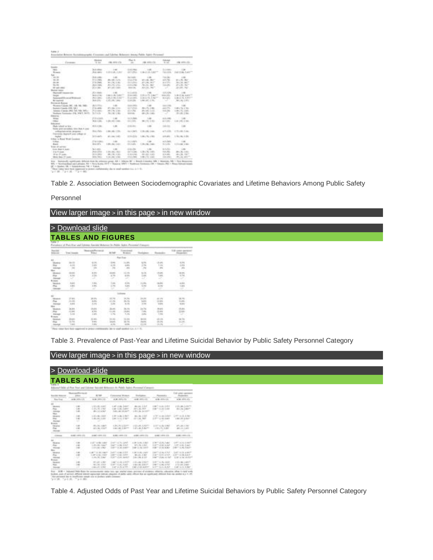| Commercial                                | 19.000                     | <b>CALLASTA COL</b>   | Note the<br>$-$          | FW HIP CE           | the cash                   | cite series c'e-        |
|-------------------------------------------|----------------------------|-----------------------|--------------------------|---------------------|----------------------------|-------------------------|
| <b>Gaada</b>                              |                            |                       |                          |                     |                            |                         |
| <b>Hara</b>                               | Tel: A college             | $-1000$               | <b>START CORPORATION</b> | $-46$               | 15 p strategic             | $-1.00$                 |
| Writector                                 | <b>JAA LANG</b>            | 3.25 G.M., 1, Jan     | aid great                | CB-2126-1407        | $14 - 15$                  | 340 1246; 1407*         |
| <b>Sale</b> 11                            |                            |                       |                          |                     |                            |                         |
| $-99.00$                                  | 1. File & contacts         | $-46$                 | minh.                    | $-46$               | To can-                    | $-1.00$                 |
| 30-30-                                    | <b>RESIDEN</b>             | 49-140-2-270-         | <b>CALCUM</b>            | <b>ELLIEL BUT</b>   | $46.8 - 10.6$              | 44 L.W. Mar.            |
| and the                                   | 110 EVROL                  | <b>R1 L RC L AD-</b>  | $22.5$ $-2.7$ $-2.7$     | 27 L.M. 2617        | as a civic.                | 181, 16, 267            |
| State Class                               | 20 4 1 3 4 5 6             | \$1.4.75, 1.5m.       | All Colorado             | No. In. Mar.        | ing sales                  | 451,061,067             |
| <b>GE-AND-HARA</b>                        | $-20.44464$                | <b>ATLAS CAST</b>     | 44.14                    | ALL DE TRUT         | w.                         | JEVAN, NA               |
| Mumat sans:                               |                            |                       |                          |                     |                            |                         |
| Marchall comments and                     | $75.4$ (Hards)             | $-46$                 | 41.544.03                |                     | 4.8.1436                   | $-1$                    |
| <b>Tought</b>                             | 1 de al compo              | 1441.0.146            | 5, 20, 200,              | 119 July 71, 1944   | state only.                | L. Book de la groupe    |
| Adams #19 cat of 9 direct                 | All Location               | 4.05.3.44.0.80        | To play the bank         | 3.14 to 73. J. No.  | <b>W.E. Lewis</b>          | Lide & TL Later         |
| <b>Britannical</b>                        | $[0.4 \, \mathrm{dB}]$     | 4.10 (10, 144) -      | <b>CALLS</b>             | 1.881.87, 1781.     | $\sim$                     | 381.06.1971             |
| Protestal Autor                           |                            |                       |                          | n e                 |                            |                         |
| Microsoft Constitute (ME), 114-140, 1960. | <b>BLACKS</b>              | $1 - 20$              | <b>GOLD CATCH</b>        | $-46$               | $-0.4 - 0.05$              | $-46$                   |
| Backult County (OR 18)                    | 114-49-6                   | <b>BT-1 BA-1 FIEL</b> | an A UNIX.               | <b>REL PL 1 REL</b> | and other                  | 1.00 x 15, 1.700.       |
| America: Il pascial (MA) 749, 749, 7491 c | PLEVAN                     | 49   FL 1.00-         | ALC: NO AVE A            | <b>BRA #5, LAGO</b> | <b><i><u>SALES</u></i></b> | 1.00 x 10, Ltd.         |
| Scalings Trainings, CA 5167, SUIT-        | To Finith-                 | 59-140-1-00-          | <b>SELECTION</b>         | 49-120-140-         | w                          | 10-140-1-00-            |
| Elderache                                 |                            |                       |                          |                     |                            |                         |
| <b>William</b>                            | $77.8$ m/mm/k.             | 1,444                 | $m, 3$ , September       | 1.44                | 19.8 (1998)                | 11. 12.00 Co.           |
| $-1$ Motors                               | $16.4 - 15.$               | 120122-1401           | men shiki.               | <b>MITH 1997</b>    | 411 095                    | 1.00   051   056        |
| <b>Police arms:</b>                       |                            |                       |                          | w.                  |                            |                         |
|                                           | <b>HILL-1944</b>           | $-46$                 | <b>STAR-BAY</b>          | $-44$               | $14 - 12$                  | $-$                     |
| those are cerebral time (less 4 peer      |                            |                       |                          |                     |                            |                         |
| andergradementen geographic               | <b>The Fight</b>           | 140140-120-           | the A (Tarlin)           | 4.00-1.66, LAMI-    | $-1.135$                   | 4.15 +46 -1.4m          |
| Transmiss Aspiral cars editors or         | 17                         |                       |                          |                     |                            |                         |
| <b>Justice</b>                            | be kuppels.                | <b>MILLING, TURNS</b> | <b>SOR-LOW</b>           | 1.09 (76.1380)      | $12.97 - 12.02$            | 1.78 (195.1) 201        |
| Ullian in Bund Week Landont-              |                            |                       |                          |                     |                            |                         |
| 12 Made                                   | <b><i>USA contact:</i></b> | 1.481                 | <b>COLLANS</b>           | 11,890              | in A classes               | $-1.001$                |
| thanks.                                   | <b>CONTRACTOR</b>          | 1,000, 84, 1,400      | <b>COLLAGE</b> 1         | 1.00 / 80. 7400     | to a sinks                 | 111104-1081             |
| <b>Video di calvetto</b>                  |                            |                       |                          |                     |                            |                         |
| Scott (Body V. Joseph)                    | Tel: 4. central            | 1.00                  | 12, 25, 250              | $-1.00$             | $9.1 \pm 0.0$              | $-100$                  |
| three foreigns of the                     | <b>MACINE</b>              | $1.01 - 0.4$ , $1.01$ | $-12.36$                 | LTR ( 74, 1.47).    | $11.4 - 16.5$              | <b>HR-1, 302</b>   4803 |
| With O' seats -                           | <b>IX BURGS</b>            | <b>JELLIEL LIGHT</b>  | 22 23 24 24 25           | <b>JELES LIGHT</b>  | 11. S. LEWIS               | 49-14039-1-120-2        |
| More than 19 Luxes.                       | to a more                  | 1111110111001         | <b>COLE LEWIS</b>        | 1.00 x 1.00 x 8.00  | to a context.              | des Jan 497             |

 $\Omega^2$  = hypothes 125,  $\pi$  the<br>independent of  $\pi$  + topologically the<br>  $\pi$  and samples i.e.,  $\pi$  =<br>  $\pi$  =  $\pi$  =  $\pi$  =  $\pi$  =<br>  $\pi$  =  $\pi$  =  $\pi$  =  $\pi$  =<br>  $\pi$  =  $\pi$  =  $\pi$  =  $\pi$  =  $\pi$  =  $\pi$  =  $\pi$  =  $\pi$  =  $\pi$ 

Table 2. Association Between Sociodemographic Covariates and Lifetime Behaviors Among Public Safety

#### Personnel

# View larger image > in this page > in new window

# > [Download](http://psycnet.apa.org/ftasset/journals/cap/59/3/slides/cap_59_3_220_tbl2a.ppt) slide **TABLES AND FIGURES**

|   | <b>Wood In</b> |                 |              | <b>Texassimus</b> |                              |               | Till-come gain |
|---|----------------|-----------------|--------------|-------------------|------------------------------|---------------|----------------|
|   |                |                 |              | <b>Ran Gree</b>   |                              |               |                |
|   |                |                 |              | 12.074<br>683     |                              | 11            |                |
|   |                |                 | 674          | ş                 | 12                           |               |                |
|   | 121            | <b>125</b>      | に            | ÷                 | tΒ                           | 4.754         | 1.411          |
|   |                |                 |              |                   |                              |               |                |
|   |                | 12<br>119       | 144          | <b>Link</b>       | t.er<br>3.00                 | 58<br>1415    | i.             |
|   | ci ani<br>Link | $16.4 - 1$<br>监 | 38,419<br>問題 | 韶<br><b>Kurs</b>  | 12<br>1.04                   | 11<br>$1 - 4$ | ÷              |
| E | 嘂<br>144       | 10.000<br>Ten   | 법<br>4.74    | 辩<br>active.      | <b>MISS</b><br>n.<br>13, 140 | B             | 14.36          |

Table 3. Prevalence of Past-Year and Lifetime Suicidal Behavior by Public Safety Personnel Category

## View larger image > in this page > in new window

|                                                                                  |                                                                                                   |                                                                          | Adjusted Galak of Paul Your and Editorial Benedict Behaviors by Public Bullety Permanent Campania |                                                          |                                                                         |                                                                                    |
|----------------------------------------------------------------------------------|---------------------------------------------------------------------------------------------------|--------------------------------------------------------------------------|---------------------------------------------------------------------------------------------------|----------------------------------------------------------|-------------------------------------------------------------------------|------------------------------------------------------------------------------------|
|                                                                                  | <b>Look report For the c</b><br>A Million Co., London & Mills<br><b>Construction Construction</b> | ALC: NORTH                                                               | Cancers Fires.<br>the product of the college of the product of the product                        | <b>FRANCISCO</b>                                         | <b>Parameter</b>                                                        |                                                                                    |
| <b>Base Street</b><br><b>ANTIS</b>                                               | $-448 - 154 - 15$                                                                                 | - 10.00 000 0.00                                                         | ALCOHOL: YES                                                                                      | 408-871-01                                               | ALLIE: 1977 N. E. S.                                                    | as ago united at the                                                               |
| <b>Salta Array</b><br>First.<br>Artistica                                        | 7.140<br>$-1.00$<br>$-1.001$                                                                      | VENSION<br>12.404 TEL 4.7400<br>- 891 13.5 MH                            | 1.40 × 16. 1.400*<br>Lake CLASS & ARMS<br>Total Last Johnson                                      | 8131107<br>441, 461, 4618<br>LINEAR BENDY                | LIBERTY STUDIO STARTS<br>THE T. A. W. LAR                               | <b>FOR LIBS TURNYR</b><br><b>Bill Like Linkert</b>                                 |
| <b>Tillian</b><br><b>TRIGGER</b><br>Piac.<br>Access (                            | $-1.001$<br>1.38<br>$\sim$                                                                        | $-1.07 - 20 - 1.6 - 0.7$<br>11.051.001.31.0001                           | 1.000 to 286, 2.000 0.00<br>1100 S. EL 3707<br>-                                                  | <b>Bro., Mit. 1, 8107</b><br>an. March                   | LOFT IS AN ENFIRM<br>Light Link Light                                   | 1.000 1.000 1.000<br>1.001.01.2.02                                                 |
| <b>Busich</b><br>÷<br><b>STANDARD</b>                                            | 1.40<br>1.001<br>$\sim$                                                                           | AT . 54 1 AU 1<br>1 . 1971 24. A Roll                                    | 4. The C. Pet of Kinsters<br>110   26.1 Av 17.<br>and t                                           | 48.1.05/11<br><b>ELECTRIC</b><br>$\sim$                  | LITT on the LOAD.<br>1781171.8207                                       | 41 + 46 1 780<br><b>BILD, ISBN</b><br>___                                          |
| <b>A</b> 200000                                                                  | 0.81.093.03                                                                                       | 2001 2011 131                                                            | SURE 2000 331 -                                                                                   | 49-14039-1-120-2                                         | 1. 00001107012.231                                                      | 21.000.0000.000.                                                                   |
| $\frac{\partial \mathbf{r}}{\partial \mathbf{r}}$                                | 1.38<br>$+46$<br>1.001                                                                            | <b>EXPERIENCE</b><br>$1.49 \times 10^{-1}$ km <sup>2</sup><br>101122-002 | APTAIN 1997<br>APT HIM LINE<br>100711-0126-01007                                                  | LE SELLIER<br>MCLAN LIGHT<br><b>DETTE DE CASTIL</b>      | FORT USE IN SALE<br>LOTT VIOLATAR<br><b>ESPECT STORE BLACK</b>          | 1.87" (6.10) 5.000*<br>LIF in H. Laur-<br>1987 L. M. S. MIT                        |
|                                                                                  | 1.00 .                                                                                            | LORE CALIFORNIA<br>LAPACIE 1927<br>11.001.00. LAMP                       | April 2001 APPA<br>1407-230 1407<br>4. Let's all left, republic                                   | 11, 285 USU 29, 11, NATO<br>461.454.3 3007<br>24109-1-12 | FIRST CORE ATACK<br>A new York and a start                              | LESTING BLACK TO LEFT LA LA MAR<br>A 27" In 14 A 227"<br>A 20 year of the state of |
| <b>Lake College</b><br><b><i><u>SELECTION</u></i></b><br>That.<br><b>Sandale</b> | 1.001                                                                                             | IFLET, LIMIT<br>1. 1951. ISL 1.532<br>$-46 - 47, 1.56$                   | LAPT (C/R-1/P/F)<br>\$1877 15.40, TANY<br>147 p.m. 4 (9).                                         | 19.49.1500<br>$1.411 - 24.41$<br>THE VEH AVE T           | <b>LIST ALR, HAV</b><br>THE TAXABLE PARTY.<br><b>AUTO GUILEAU AL SU</b> | 120 OR 14027<br>and cars lower.<br>3.40 to 23.5 Star                               |

Table 4. Adjusted Odds of Past Year and Lifetime Suicidal Behaviors by Public Safety Personnel Category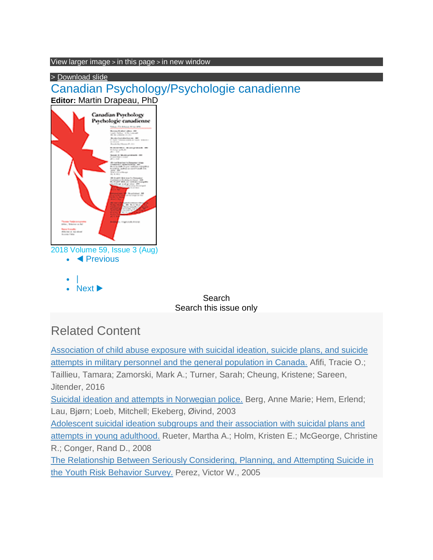View larger image > in this page > in new window

> [Download](http://psycnet.apa.org/ftasset/journals/cap/59/3/slides/cap_59_3_220_tbl4a.ppt) slide

Canadian Psychology/Psychologie canadienne





Next  $\blacktriangleright$ 

Search Search this issue only

# Related Content

[Association of child abuse exposure with suicidal ideation, suicide plans, and suicide](/record/2016-20011-004)  [attempts in military personnel and the general population in Canada.](/record/2016-20011-004) Afifi, Tracie O.; Taillieu, Tamara; Zamorski, Mark A.; Turner, Sarah; Cheung, Kristene; Sareen, Jitender, 2016 [Suicidal ideation and attempts in Norwegian police.](/record/2003-08914-009) Berg, Anne Marie; Hem, Erlend; Lau, Bjørn; Loeb, Mitchell; Ekeberg, Øivind, 2003 [Adolescent suicidal ideation subgroups and their association with suicidal plans and](/record/2008-16204-010)  [attempts in young adulthood.](/record/2008-16204-010) Rueter, Martha A.; Holm, Kristen E.; McGeorge, Christine R.; Conger, Rand D., 2008 [The Relationship Between Seriously Considering,](/record/2005-02841-005) Planning, and Attempting Suicide in [the Youth Risk Behavior Survey.](/record/2005-02841-005) Perez, Victor W., 2005